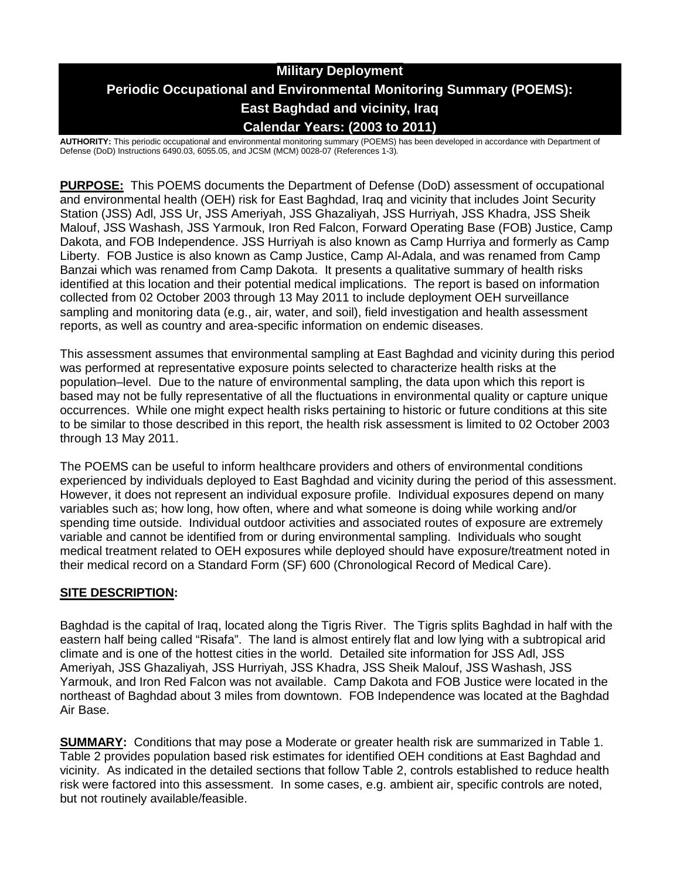# **Military Deployment Periodic Occupational and Environmental Monitoring Summary (POEMS): East Baghdad and vicinity, Iraq Calendar Years: (2003 to 2011)**

**AUTHORITY:** This periodic occupational and environmental monitoring summary (POEMS) has been developed in accordance with Department of Defense (DoD) Instructions 6490.03, 6055.05, and JCSM (MCM) 0028-07 (References 1-3)*.*

**PURPOSE:** This POEMS documents the Department of Defense (DoD) assessment of occupational and environmental health (OEH) risk for East Baghdad, Iraq and vicinity that includes Joint Security Station (JSS) Adl, JSS Ur, JSS Ameriyah, JSS Ghazaliyah, JSS Hurriyah, JSS Khadra, JSS Sheik Malouf, JSS Washash, JSS Yarmouk, Iron Red Falcon, Forward Operating Base (FOB) Justice, Camp Dakota, and FOB Independence. JSS Hurriyah is also known as Camp Hurriya and formerly as Camp Liberty. FOB Justice is also known as Camp Justice, Camp Al-Adala, and was renamed from Camp Banzai which was renamed from Camp Dakota. It presents a qualitative summary of health risks identified at this location and their potential medical implications. The report is based on information collected from 02 October 2003 through 13 May 2011 to include deployment OEH surveillance sampling and monitoring data (e.g., air, water, and soil), field investigation and health assessment reports, as well as country and area-specific information on endemic diseases.

This assessment assumes that environmental sampling at East Baghdad and vicinity during this period was performed at representative exposure points selected to characterize health risks at the population–level. Due to the nature of environmental sampling, the data upon which this report is based may not be fully representative of all the fluctuations in environmental quality or capture unique occurrences. While one might expect health risks pertaining to historic or future conditions at this site to be similar to those described in this report, the health risk assessment is limited to 02 October 2003 through 13 May 2011.

The POEMS can be useful to inform healthcare providers and others of environmental conditions experienced by individuals deployed to East Baghdad and vicinity during the period of this assessment. However, it does not represent an individual exposure profile. Individual exposures depend on many variables such as; how long, how often, where and what someone is doing while working and/or spending time outside. Individual outdoor activities and associated routes of exposure are extremely variable and cannot be identified from or during environmental sampling. Individuals who sought medical treatment related to OEH exposures while deployed should have exposure/treatment noted in their medical record on a Standard Form (SF) 600 (Chronological Record of Medical Care).

### **SITE DESCRIPTION:**

Baghdad is the capital of Iraq, located along the Tigris River. The Tigris splits Baghdad in half with the eastern half being called "Risafa". The land is almost entirely flat and low lying with a subtropical arid climate and is one of the hottest cities in the world. Detailed site information for JSS Adl, JSS Ameriyah, JSS Ghazaliyah, JSS Hurriyah, JSS Khadra, JSS Sheik Malouf, JSS Washash, JSS Yarmouk, and Iron Red Falcon was not available. Camp Dakota and FOB Justice were located in the northeast of Baghdad about 3 miles from downtown. FOB Independence was located at the Baghdad Air Base.

**SUMMARY:** Conditions that may pose a Moderate or greater health risk are summarized in Table 1. Table 2 provides population based risk estimates for identified OEH conditions at East Baghdad and vicinity. As indicated in the detailed sections that follow Table 2, controls established to reduce health risk were factored into this assessment. In some cases, e.g. ambient air, specific controls are noted, but not routinely available/feasible.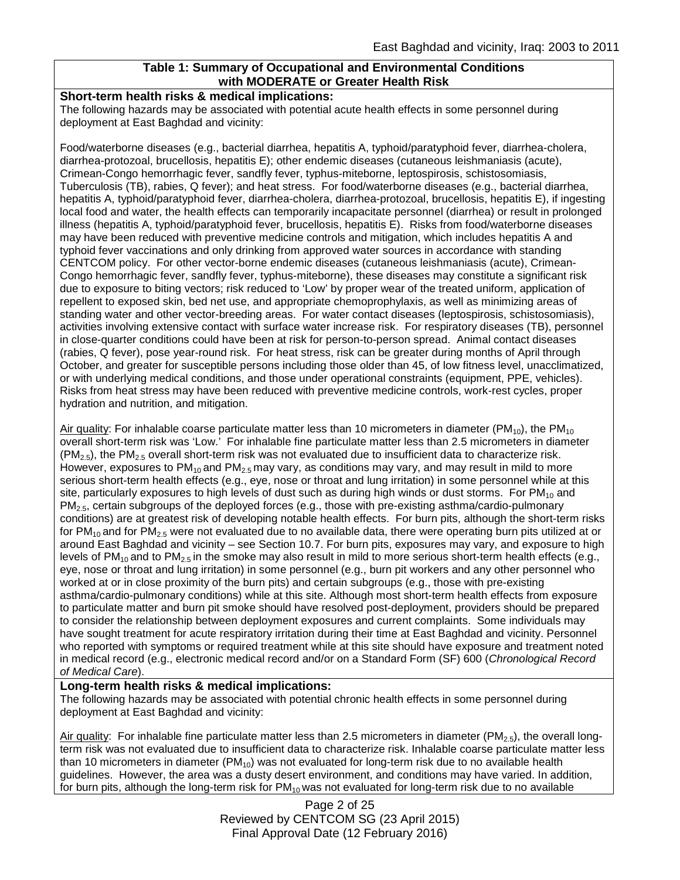### **Table 1: Summary of Occupational and Environmental Conditions with MODERATE or Greater Health Risk**

#### **Short-term health risks & medical implications:**

The following hazards may be associated with potential acute health effects in some personnel during deployment at East Baghdad and vicinity:

Food/waterborne diseases (e.g., bacterial diarrhea, hepatitis A, typhoid/paratyphoid fever, diarrhea-cholera, diarrhea-protozoal, brucellosis, hepatitis E); other endemic diseases (cutaneous leishmaniasis (acute), Crimean-Congo hemorrhagic fever, sandfly fever, typhus-miteborne, leptospirosis, schistosomiasis, Tuberculosis (TB), rabies, Q fever); and heat stress. For food/waterborne diseases (e.g., bacterial diarrhea, hepatitis A, typhoid/paratyphoid fever, diarrhea-cholera, diarrhea-protozoal, brucellosis, hepatitis E), if ingesting local food and water, the health effects can temporarily incapacitate personnel (diarrhea) or result in prolonged illness (hepatitis A, typhoid/paratyphoid fever, brucellosis, hepatitis E). Risks from food/waterborne diseases may have been reduced with preventive medicine controls and mitigation, which includes hepatitis A and typhoid fever vaccinations and only drinking from approved water sources in accordance with standing CENTCOM policy. For other vector-borne endemic diseases (cutaneous leishmaniasis (acute), Crimean-Congo hemorrhagic fever, sandfly fever, typhus-miteborne), these diseases may constitute a significant risk due to exposure to biting vectors; risk reduced to 'Low' by proper wear of the treated uniform, application of repellent to exposed skin, bed net use, and appropriate chemoprophylaxis, as well as minimizing areas of standing water and other vector-breeding areas. For water contact diseases (leptospirosis, schistosomiasis), activities involving extensive contact with surface water increase risk. For respiratory diseases (TB), personnel in close-quarter conditions could have been at risk for person-to-person spread. Animal contact diseases (rabies, Q fever), pose year-round risk. For heat stress, risk can be greater during months of April through October, and greater for susceptible persons including those older than 45, of low fitness level, unacclimatized, or with underlying medical conditions, and those under operational constraints (equipment, PPE, vehicles). Risks from heat stress may have been reduced with preventive medicine controls, work-rest cycles, proper hydration and nutrition, and mitigation.

Air quality: For inhalable coarse particulate matter less than 10 micrometers in diameter ( $PM_{10}$ ), the PM<sub>10</sub> overall short-term risk was 'Low.' For inhalable fine particulate matter less than 2.5 micrometers in diameter  $(PM_{2.5})$ , the PM<sub>2.5</sub> overall short-term risk was not evaluated due to insufficient data to characterize risk. However, exposures to  $PM_{10}$  and  $PM_{2.5}$  may vary, as conditions may vary, and may result in mild to more serious short-term health effects (e.g., eye, nose or throat and lung irritation) in some personnel while at this site, particularly exposures to high levels of dust such as during high winds or dust storms. For  $PM_{10}$  and PM<sub>2.5</sub>, certain subgroups of the deployed forces (e.g., those with pre-existing asthma/cardio-pulmonary conditions) are at greatest risk of developing notable health effects. For burn pits, although the short-term risks for PM<sub>10</sub> and for PM<sub>2.5</sub> were not evaluated due to no available data, there were operating burn pits utilized at or around East Baghdad and vicinity – see Section 10.7. For burn pits, exposures may vary, and exposure to high levels of  $PM_{10}$  and to  $PM_{2.5}$  in the smoke may also result in mild to more serious short-term health effects (e.g., eye, nose or throat and lung irritation) in some personnel (e.g., burn pit workers and any other personnel who worked at or in close proximity of the burn pits) and certain subgroups (e.g., those with pre-existing asthma/cardio-pulmonary conditions) while at this site. Although most short-term health effects from exposure to particulate matter and burn pit smoke should have resolved post-deployment, providers should be prepared to consider the relationship between deployment exposures and current complaints. Some individuals may have sought treatment for acute respiratory irritation during their time at East Baghdad and vicinity. Personnel who reported with symptoms or required treatment while at this site should have exposure and treatment noted in medical record (e.g., electronic medical record and/or on a Standard Form (SF) 600 (*Chronological Record of Medical Care*).

#### **Long-term health risks & medical implications:**

The following hazards may be associated with potential chronic health effects in some personnel during deployment at East Baghdad and vicinity:

Air quality: For inhalable fine particulate matter less than 2.5 micrometers in diameter (PM<sub>2.5</sub>), the overall longterm risk was not evaluated due to insufficient data to characterize risk. Inhalable coarse particulate matter less than 10 micrometers in diameter  $(PM_{10})$  was not evaluated for long-term risk due to no available health guidelines. However, the area was a dusty desert environment, and conditions may have varied. In addition, for burn pits, although the long-term risk for  $PM_{10}$  was not evaluated for long-term risk due to no available

> Page 2 of 25 Reviewed by CENTCOM SG (23 April 2015) Final Approval Date (12 February 2016)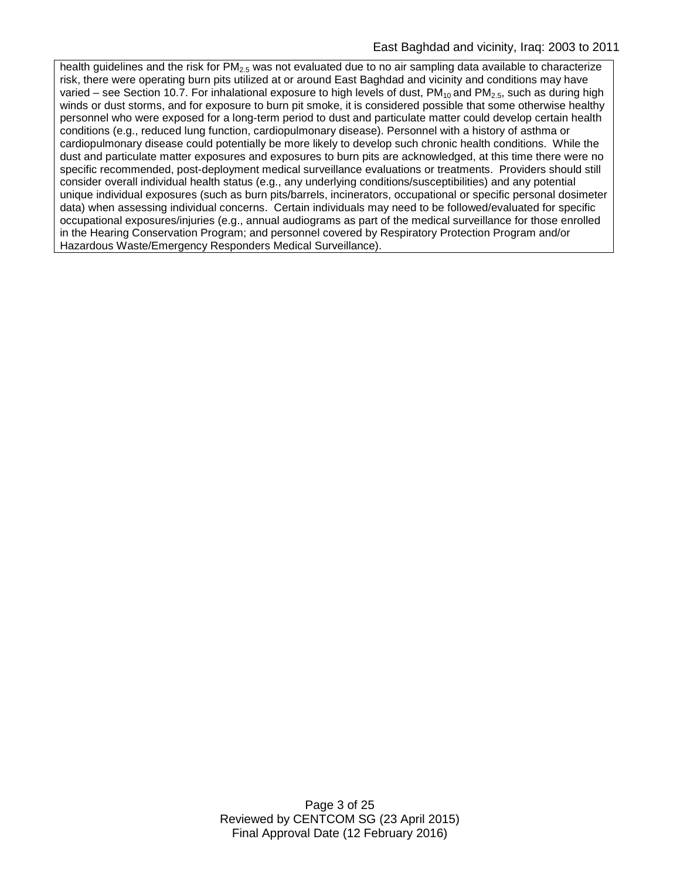health guidelines and the risk for  $PM<sub>2.5</sub>$  was not evaluated due to no air sampling data available to characterize risk, there were operating burn pits utilized at or around East Baghdad and vicinity and conditions may have varied – see Section 10.7. For inhalational exposure to high levels of dust, PM<sub>10</sub> and PM<sub>2.5</sub>, such as during high winds or dust storms, and for exposure to burn pit smoke, it is considered possible that some otherwise healthy personnel who were exposed for a long-term period to dust and particulate matter could develop certain health conditions (e.g., reduced lung function, cardiopulmonary disease). Personnel with a history of asthma or cardiopulmonary disease could potentially be more likely to develop such chronic health conditions. While the dust and particulate matter exposures and exposures to burn pits are acknowledged, at this time there were no specific recommended, post-deployment medical surveillance evaluations or treatments. Providers should still consider overall individual health status (e.g., any underlying conditions/susceptibilities) and any potential unique individual exposures (such as burn pits/barrels, incinerators, occupational or specific personal dosimeter data) when assessing individual concerns. Certain individuals may need to be followed/evaluated for specific occupational exposures/injuries (e.g., annual audiograms as part of the medical surveillance for those enrolled in the Hearing Conservation Program; and personnel covered by Respiratory Protection Program and/or Hazardous Waste/Emergency Responders Medical Surveillance).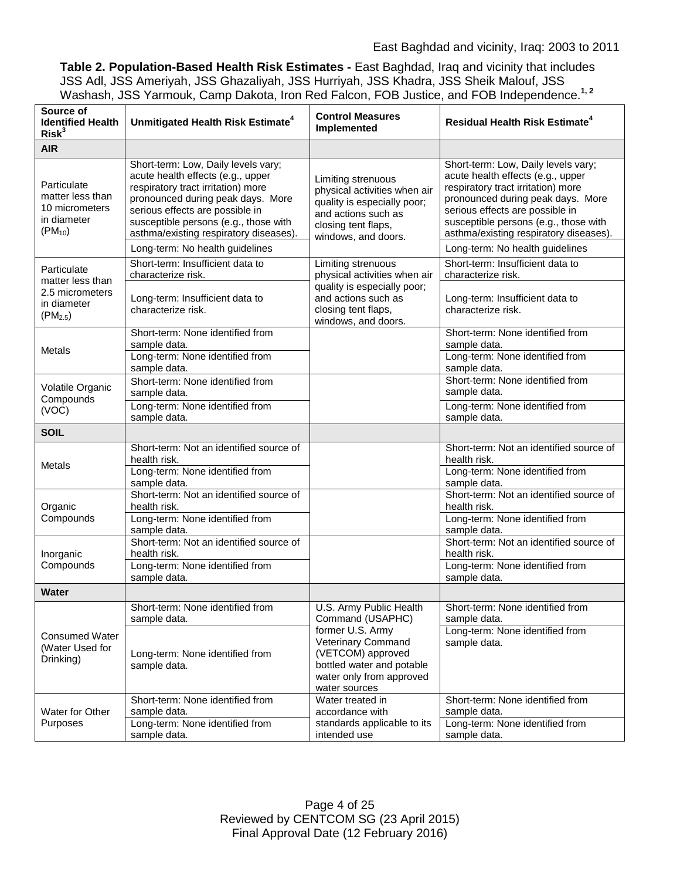**Table 2. Population-Based Health Risk Estimates -** East Baghdad, Iraq and vicinity that includes JSS Adl, JSS Ameriyah, JSS Ghazaliyah, JSS Hurriyah, JSS Khadra, JSS Sheik Malouf, JSS Washash, JSS Yarmouk, Camp Dakota, Iron Red Falcon, FOB Justice, and FOB Independence. **1, 2**

| Source of<br><b>Identified Health</b><br>Risk <sup>3</sup>                        | Unmitigated Health Risk Estimate <sup>4</sup>                                                                                                                                                                                                                             | <b>Control Measures</b><br>Implemented                                                                                                                 | <b>Residual Health Risk Estimate<sup>4</sup></b>                                                                                                                                                                                                                          |
|-----------------------------------------------------------------------------------|---------------------------------------------------------------------------------------------------------------------------------------------------------------------------------------------------------------------------------------------------------------------------|--------------------------------------------------------------------------------------------------------------------------------------------------------|---------------------------------------------------------------------------------------------------------------------------------------------------------------------------------------------------------------------------------------------------------------------------|
| <b>AIR</b>                                                                        |                                                                                                                                                                                                                                                                           |                                                                                                                                                        |                                                                                                                                                                                                                                                                           |
| Particulate<br>matter less than<br>10 micrometers<br>in diameter<br>$(PM_{10})$   | Short-term: Low, Daily levels vary;<br>acute health effects (e.g., upper<br>respiratory tract irritation) more<br>pronounced during peak days. More<br>serious effects are possible in<br>susceptible persons (e.g., those with<br>asthma/existing respiratory diseases). | Limiting strenuous<br>physical activities when air<br>quality is especially poor;<br>and actions such as<br>closing tent flaps,<br>windows, and doors. | Short-term: Low, Daily levels vary;<br>acute health effects (e.g., upper<br>respiratory tract irritation) more<br>pronounced during peak days. More<br>serious effects are possible in<br>susceptible persons (e.g., those with<br>asthma/existing respiratory diseases). |
|                                                                                   | Long-term: No health guidelines                                                                                                                                                                                                                                           |                                                                                                                                                        | Long-term: No health guidelines                                                                                                                                                                                                                                           |
| Particulate<br>matter less than<br>2.5 micrometers<br>in diameter<br>$(PM_{2.5})$ | Short-term: Insufficient data to<br>characterize risk.                                                                                                                                                                                                                    | Limiting strenuous<br>physical activities when air                                                                                                     | Short-term: Insufficient data to<br>characterize risk.                                                                                                                                                                                                                    |
|                                                                                   | Long-term: Insufficient data to<br>characterize risk.                                                                                                                                                                                                                     | quality is especially poor;<br>and actions such as<br>closing tent flaps,<br>windows, and doors.                                                       | Long-term: Insufficient data to<br>characterize risk.                                                                                                                                                                                                                     |
| <b>Metals</b>                                                                     | Short-term: None identified from<br>sample data.<br>Long-term: None identified from<br>sample data.                                                                                                                                                                       |                                                                                                                                                        | Short-term: None identified from<br>sample data.<br>Long-term: None identified from<br>sample data.                                                                                                                                                                       |
| Volatile Organic<br>Compounds<br>(VOC)                                            | Short-term: None identified from<br>sample data.                                                                                                                                                                                                                          |                                                                                                                                                        | Short-term: None identified from<br>sample data.                                                                                                                                                                                                                          |
|                                                                                   | Long-term: None identified from<br>sample data.                                                                                                                                                                                                                           |                                                                                                                                                        | Long-term: None identified from<br>sample data.                                                                                                                                                                                                                           |
| <b>SOIL</b>                                                                       |                                                                                                                                                                                                                                                                           |                                                                                                                                                        |                                                                                                                                                                                                                                                                           |
| Metals                                                                            | Short-term: Not an identified source of<br>health risk.                                                                                                                                                                                                                   |                                                                                                                                                        | Short-term: Not an identified source of<br>health risk.                                                                                                                                                                                                                   |
|                                                                                   | Long-term: None identified from<br>sample data.                                                                                                                                                                                                                           |                                                                                                                                                        | Long-term: None identified from<br>sample data.                                                                                                                                                                                                                           |
| Organic<br>Compounds                                                              | Short-term: Not an identified source of<br>health risk.                                                                                                                                                                                                                   |                                                                                                                                                        | Short-term: Not an identified source of<br>health risk.                                                                                                                                                                                                                   |
|                                                                                   | Long-term: None identified from<br>sample data.                                                                                                                                                                                                                           |                                                                                                                                                        | Long-term: None identified from<br>sample data.                                                                                                                                                                                                                           |
| Inorganic<br>Compounds                                                            | Short-term: Not an identified source of<br>health risk.                                                                                                                                                                                                                   |                                                                                                                                                        | Short-term: Not an identified source of<br>health risk.                                                                                                                                                                                                                   |
|                                                                                   | Long-term: None identified from<br>sample data.                                                                                                                                                                                                                           |                                                                                                                                                        | Long-term: None identified from<br>sample data.                                                                                                                                                                                                                           |
| Water                                                                             |                                                                                                                                                                                                                                                                           |                                                                                                                                                        |                                                                                                                                                                                                                                                                           |
| <b>Consumed Water</b><br>(Water Used for<br>Drinking)                             | Short-term: None identified from<br>sample data.                                                                                                                                                                                                                          | U.S. Army Public Health<br>Command (USAPHC)                                                                                                            | Short-term: None identified from<br>sample data.                                                                                                                                                                                                                          |
|                                                                                   | Long-term: None identified from<br>sample data.                                                                                                                                                                                                                           | former U.S. Army<br>Veterinary Command<br>(VETCOM) approved<br>bottled water and potable<br>water only from approved<br>water sources                  | Long-term: None identified from<br>sample data.                                                                                                                                                                                                                           |
| Water for Other<br>Purposes                                                       | Short-term: None identified from<br>sample data.                                                                                                                                                                                                                          | Water treated in<br>accordance with                                                                                                                    | Short-term: None identified from<br>sample data.                                                                                                                                                                                                                          |
|                                                                                   | Long-term: None identified from<br>sample data.                                                                                                                                                                                                                           | standards applicable to its<br>intended use                                                                                                            | Long-term: None identified from<br>sample data.                                                                                                                                                                                                                           |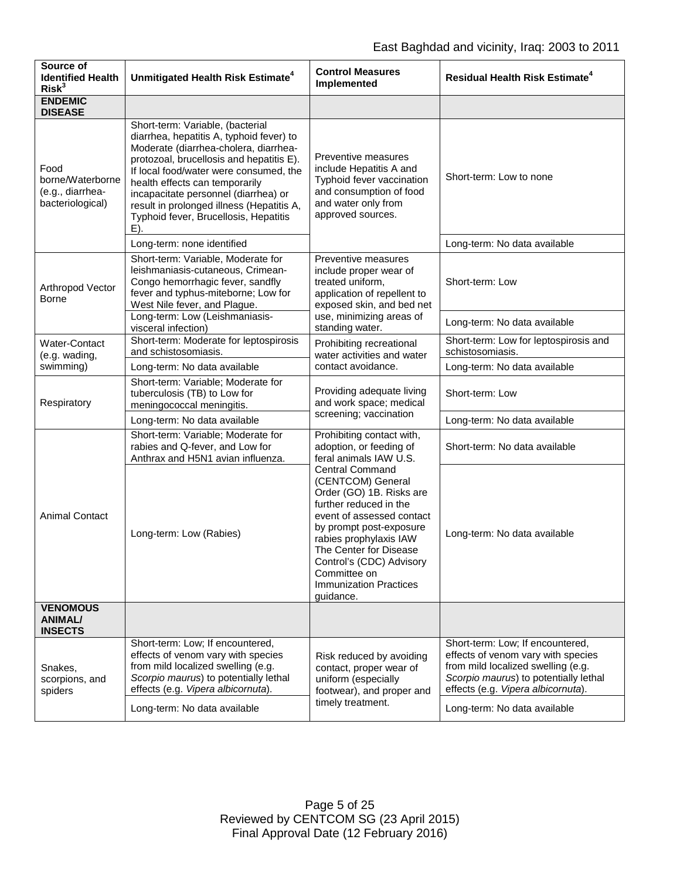| Source of<br><b>Identified Health</b><br>Risk <sup>3</sup>       | Unmitigated Health Risk Estimate <sup>4</sup>                                                                                                                                                                                                                                                                                                                                      | <b>Control Measures</b><br>Implemented                                                                                                                                                                                                                                                                                                                                                    | <b>Residual Health Risk Estimate<sup>4</sup></b>                                                                                                                                                                            |
|------------------------------------------------------------------|------------------------------------------------------------------------------------------------------------------------------------------------------------------------------------------------------------------------------------------------------------------------------------------------------------------------------------------------------------------------------------|-------------------------------------------------------------------------------------------------------------------------------------------------------------------------------------------------------------------------------------------------------------------------------------------------------------------------------------------------------------------------------------------|-----------------------------------------------------------------------------------------------------------------------------------------------------------------------------------------------------------------------------|
| <b>ENDEMIC</b><br><b>DISEASE</b>                                 |                                                                                                                                                                                                                                                                                                                                                                                    |                                                                                                                                                                                                                                                                                                                                                                                           |                                                                                                                                                                                                                             |
| Food<br>borne/Waterborne<br>(e.g., diarrhea-<br>bacteriological) | Short-term: Variable, (bacterial<br>diarrhea, hepatitis A, typhoid fever) to<br>Moderate (diarrhea-cholera, diarrhea-<br>protozoal, brucellosis and hepatitis E).<br>If local food/water were consumed, the<br>health effects can temporarily<br>incapacitate personnel (diarrhea) or<br>result in prolonged illness (Hepatitis A,<br>Typhoid fever, Brucellosis, Hepatitis<br>E). | Preventive measures<br>include Hepatitis A and<br>Typhoid fever vaccination<br>and consumption of food<br>and water only from<br>approved sources.                                                                                                                                                                                                                                        | Short-term: Low to none                                                                                                                                                                                                     |
|                                                                  | Long-term: none identified                                                                                                                                                                                                                                                                                                                                                         |                                                                                                                                                                                                                                                                                                                                                                                           | Long-term: No data available                                                                                                                                                                                                |
| Arthropod Vector<br><b>Borne</b>                                 | Short-term: Variable, Moderate for<br>leishmaniasis-cutaneous, Crimean-<br>Congo hemorrhagic fever, sandfly<br>fever and typhus-miteborne; Low for<br>West Nile fever, and Plague.                                                                                                                                                                                                 | Preventive measures<br>include proper wear of<br>treated uniform,<br>application of repellent to<br>exposed skin, and bed net<br>use, minimizing areas of<br>standing water.                                                                                                                                                                                                              | Short-term: Low                                                                                                                                                                                                             |
|                                                                  | Long-term: Low (Leishmaniasis-<br>visceral infection)                                                                                                                                                                                                                                                                                                                              |                                                                                                                                                                                                                                                                                                                                                                                           | Long-term: No data available                                                                                                                                                                                                |
| Water-Contact<br>(e.g. wading,<br>swimming)                      | Short-term: Moderate for leptospirosis<br>and schistosomiasis.                                                                                                                                                                                                                                                                                                                     | Prohibiting recreational<br>water activities and water<br>contact avoidance.                                                                                                                                                                                                                                                                                                              | Short-term: Low for leptospirosis and<br>schistosomiasis.                                                                                                                                                                   |
|                                                                  | Long-term: No data available                                                                                                                                                                                                                                                                                                                                                       |                                                                                                                                                                                                                                                                                                                                                                                           | Long-term: No data available                                                                                                                                                                                                |
| Respiratory                                                      | Short-term: Variable; Moderate for<br>tuberculosis (TB) to Low for<br>meningococcal meningitis.                                                                                                                                                                                                                                                                                    | Providing adequate living<br>and work space; medical<br>screening; vaccination                                                                                                                                                                                                                                                                                                            | Short-term: Low                                                                                                                                                                                                             |
|                                                                  | Long-term: No data available                                                                                                                                                                                                                                                                                                                                                       |                                                                                                                                                                                                                                                                                                                                                                                           | Long-term: No data available                                                                                                                                                                                                |
| <b>Animal Contact</b>                                            | Short-term: Variable; Moderate for<br>rabies and Q-fever, and Low for<br>Anthrax and H5N1 avian influenza.                                                                                                                                                                                                                                                                         | Prohibiting contact with,<br>adoption, or feeding of<br>feral animals IAW U.S.<br><b>Central Command</b><br>(CENTCOM) General<br>Order (GO) 1B. Risks are<br>further reduced in the<br>event of assessed contact<br>by prompt post-exposure<br>rabies prophylaxis IAW<br>The Center for Disease<br>Control's (CDC) Advisory<br>Committee on<br><b>Immunization Practices</b><br>guidance. | Short-term: No data available                                                                                                                                                                                               |
|                                                                  | Long-term: Low (Rabies)                                                                                                                                                                                                                                                                                                                                                            |                                                                                                                                                                                                                                                                                                                                                                                           | Long-term: No data available                                                                                                                                                                                                |
| <b>VENOMOUS</b><br><b>ANIMAL/</b><br><b>INSECTS</b>              |                                                                                                                                                                                                                                                                                                                                                                                    |                                                                                                                                                                                                                                                                                                                                                                                           |                                                                                                                                                                                                                             |
| Snakes,<br>scorpions, and<br>spiders                             | Short-term: Low; If encountered,<br>effects of venom vary with species<br>from mild localized swelling (e.g.<br>Scorpio maurus) to potentially lethal<br>effects (e.g. Vipera albicornuta).<br>Long-term: No data available                                                                                                                                                        | Risk reduced by avoiding<br>contact, proper wear of<br>uniform (especially<br>footwear), and proper and<br>timely treatment.                                                                                                                                                                                                                                                              | Short-term: Low; If encountered,<br>effects of venom vary with species<br>from mild localized swelling (e.g.<br>Scorpio maurus) to potentially lethal<br>effects (e.g. Vipera albicornuta).<br>Long-term: No data available |
|                                                                  |                                                                                                                                                                                                                                                                                                                                                                                    |                                                                                                                                                                                                                                                                                                                                                                                           |                                                                                                                                                                                                                             |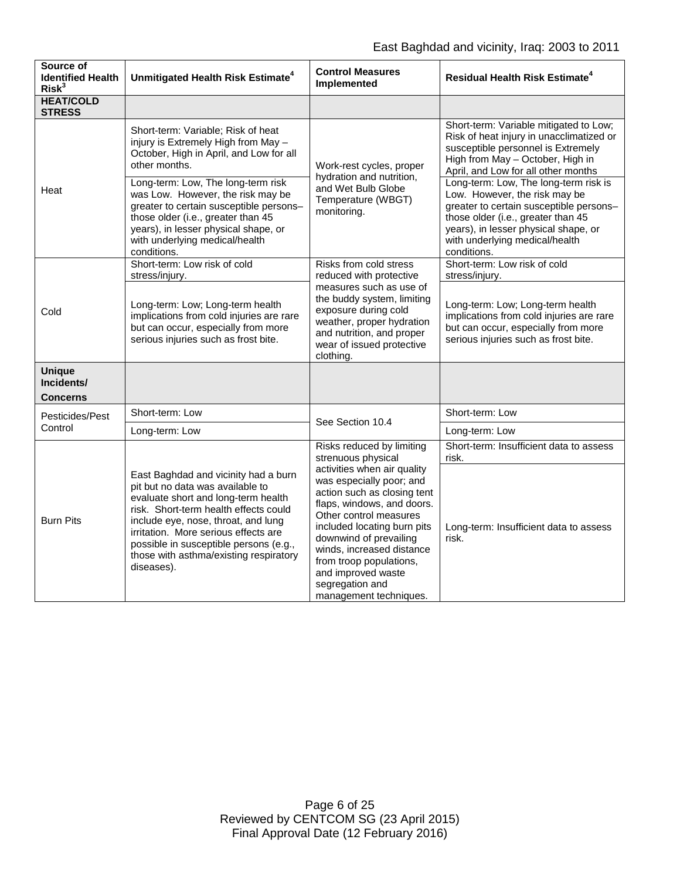# East Baghdad and vicinity, Iraq: 2003 to 2011

| Source of<br><b>Identified Health</b><br>Risk <sup>3</sup> | Unmitigated Health Risk Estimate <sup>4</sup>                                                                                                                                                                                                                                                                                             | <b>Control Measures</b><br>Implemented                                                                                                                                                                                                                                                                                                                                                | <b>Residual Health Risk Estimate<sup>4</sup></b>                                                                                                                                                                                                 |
|------------------------------------------------------------|-------------------------------------------------------------------------------------------------------------------------------------------------------------------------------------------------------------------------------------------------------------------------------------------------------------------------------------------|---------------------------------------------------------------------------------------------------------------------------------------------------------------------------------------------------------------------------------------------------------------------------------------------------------------------------------------------------------------------------------------|--------------------------------------------------------------------------------------------------------------------------------------------------------------------------------------------------------------------------------------------------|
| <b>HEAT/COLD</b><br><b>STRESS</b>                          |                                                                                                                                                                                                                                                                                                                                           |                                                                                                                                                                                                                                                                                                                                                                                       |                                                                                                                                                                                                                                                  |
| Heat                                                       | Short-term: Variable; Risk of heat<br>injury is Extremely High from May -<br>October, High in April, and Low for all<br>other months.                                                                                                                                                                                                     | Work-rest cycles, proper<br>hydration and nutrition,<br>and Wet Bulb Globe<br>Temperature (WBGT)<br>monitoring.                                                                                                                                                                                                                                                                       | Short-term: Variable mitigated to Low;<br>Risk of heat injury in unacclimatized or<br>susceptible personnel is Extremely<br>High from May - October, High in<br>April, and Low for all other months                                              |
|                                                            | Long-term: Low, The long-term risk<br>was Low. However, the risk may be<br>greater to certain susceptible persons-<br>those older (i.e., greater than 45<br>years), in lesser physical shape, or<br>with underlying medical/health<br>conditions.                                                                                         |                                                                                                                                                                                                                                                                                                                                                                                       | Long-term: Low, The long-term risk is<br>Low. However, the risk may be<br>greater to certain susceptible persons-<br>those older (i.e., greater than 45<br>years), in lesser physical shape, or<br>with underlying medical/health<br>conditions. |
| Cold                                                       | Short-term: Low risk of cold<br>stress/injury.                                                                                                                                                                                                                                                                                            | Risks from cold stress<br>reduced with protective                                                                                                                                                                                                                                                                                                                                     | Short-term: Low risk of cold<br>stress/injury.                                                                                                                                                                                                   |
|                                                            | Long-term: Low; Long-term health<br>implications from cold injuries are rare<br>but can occur, especially from more<br>serious injuries such as frost bite.                                                                                                                                                                               | measures such as use of<br>the buddy system, limiting<br>exposure during cold<br>weather, proper hydration<br>and nutrition, and proper<br>wear of issued protective<br>clothing.                                                                                                                                                                                                     | Long-term: Low; Long-term health<br>implications from cold injuries are rare<br>but can occur, especially from more<br>serious injuries such as frost bite.                                                                                      |
| <b>Unique</b><br>Incidents/<br><b>Concerns</b>             |                                                                                                                                                                                                                                                                                                                                           |                                                                                                                                                                                                                                                                                                                                                                                       |                                                                                                                                                                                                                                                  |
| Pesticides/Pest                                            | Short-term: Low                                                                                                                                                                                                                                                                                                                           | See Section 10.4                                                                                                                                                                                                                                                                                                                                                                      | Short-term: Low                                                                                                                                                                                                                                  |
| Control                                                    | Long-term: Low                                                                                                                                                                                                                                                                                                                            |                                                                                                                                                                                                                                                                                                                                                                                       | Long-term: Low                                                                                                                                                                                                                                   |
| <b>Burn Pits</b>                                           | East Baghdad and vicinity had a burn<br>pit but no data was available to<br>evaluate short and long-term health<br>risk. Short-term health effects could<br>include eye, nose, throat, and lung<br>irritation. More serious effects are<br>possible in susceptible persons (e.g.,<br>those with asthma/existing respiratory<br>diseases). | Risks reduced by limiting<br>strenuous physical<br>activities when air quality<br>was especially poor; and<br>action such as closing tent<br>flaps, windows, and doors.<br>Other control measures<br>included locating burn pits<br>downwind of prevailing<br>winds, increased distance<br>from troop populations,<br>and improved waste<br>segregation and<br>management techniques. | Short-term: Insufficient data to assess<br>risk.                                                                                                                                                                                                 |
|                                                            |                                                                                                                                                                                                                                                                                                                                           |                                                                                                                                                                                                                                                                                                                                                                                       | Long-term: Insufficient data to assess<br>risk.                                                                                                                                                                                                  |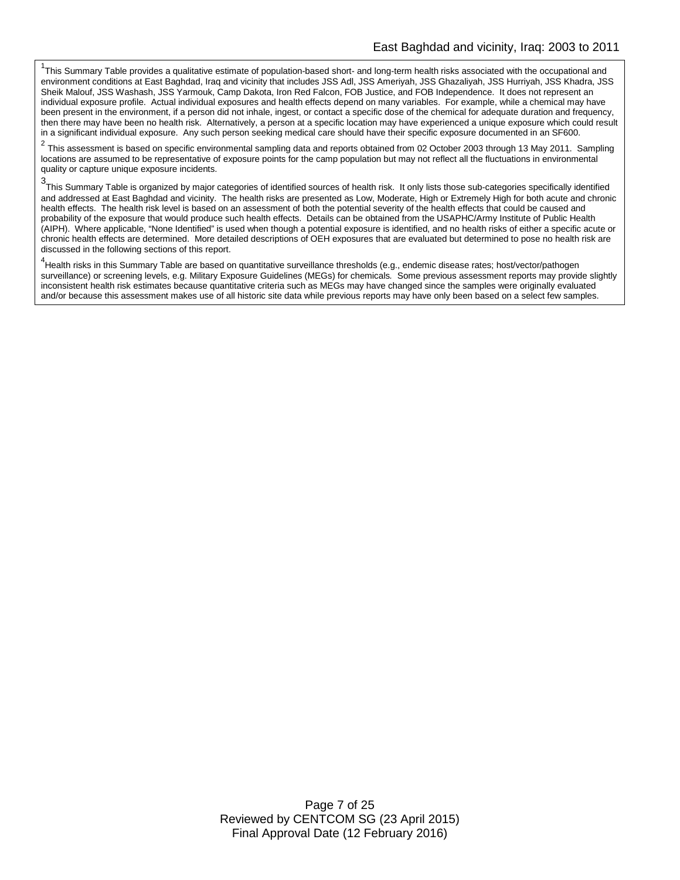<sup>1</sup>This Summary Table provides a qualitative estimate of population-based short- and long-term health risks associated with the occupational and environment conditions at East Baghdad, Iraq and vicinity that includes JSS Adl, JSS Ameriyah, JSS Ghazaliyah, JSS Hurriyah, JSS Khadra, JSS Sheik Malouf, JSS Washash, JSS Yarmouk, Camp Dakota, Iron Red Falcon, FOB Justice, and FOB Independence. It does not represent an individual exposure profile. Actual individual exposures and health effects depend on many variables. For example, while a chemical may have been present in the environment, if a person did not inhale, ingest, or contact a specific dose of the chemical for adequate duration and frequency, then there may have been no health risk. Alternatively, a person at a specific location may have experienced a unique exposure which could result in a significant individual exposure. Any such person seeking medical care should have their specific exposure documented in an SF600.

<sup>2</sup> This assessment is based on specific environmental sampling data and reports obtained from 02 October 2003 through 13 May 2011. Sampling locations are assumed to be representative of exposure points for the camp population but may not reflect all the fluctuations in environmental quality or capture unique exposure incidents.

3 This Summary Table is organized by major categories of identified sources of health risk. It only lists those sub-categories specifically identified and addressed at East Baghdad and vicinity. The health risks are presented as Low, Moderate, High or Extremely High for both acute and chronic health effects. The health risk level is based on an assessment of both the potential severity of the health effects that could be caused and probability of the exposure that would produce such health effects. Details can be obtained from the USAPHC/Army Institute of Public Health (AIPH). Where applicable, "None Identified" is used when though a potential exposure is identified, and no health risks of either a specific acute or chronic health effects are determined. More detailed descriptions of OEH exposures that are evaluated but determined to pose no health risk are discussed in the following sections of this report.

<sup>4</sup><br>Health risks in this Summary Table are based on quantitative surveillance thresholds (e.g., endemic disease rates; host/vector/pathogen surveillance) or screening levels, e.g. Military Exposure Guidelines (MEGs) for chemicals*.* Some previous assessment reports may provide slightly inconsistent health risk estimates because quantitative criteria such as MEGs may have changed since the samples were originally evaluated and/or because this assessment makes use of all historic site data while previous reports may have only been based on a select few samples.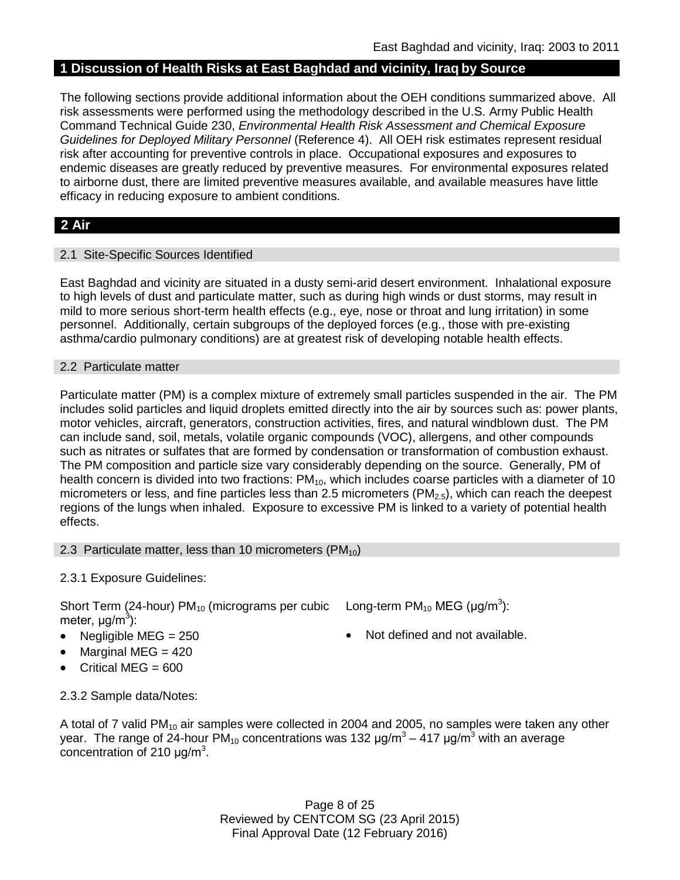## **1 Discussion of Health Risks at East Baghdad and vicinity, Iraq by Source**

The following sections provide additional information about the OEH conditions summarized above. All risk assessments were performed using the methodology described in the U.S. Army Public Health Command Technical Guide 230, *Environmental Health Risk Assessment and Chemical Exposure Guidelines for Deployed Military Personnel* (Reference 4). All OEH risk estimates represent residual risk after accounting for preventive controls in place. Occupational exposures and exposures to endemic diseases are greatly reduced by preventive measures. For environmental exposures related to airborne dust, there are limited preventive measures available, and available measures have little efficacy in reducing exposure to ambient conditions.

# **2 Air**

### 2.1 Site-Specific Sources Identified

East Baghdad and vicinity are situated in a dusty semi-arid desert environment. Inhalational exposure to high levels of dust and particulate matter, such as during high winds or dust storms, may result in mild to more serious short-term health effects (e.g., eye, nose or throat and lung irritation) in some personnel. Additionally, certain subgroups of the deployed forces (e.g., those with pre-existing asthma/cardio pulmonary conditions) are at greatest risk of developing notable health effects.

#### 2.2 Particulate matter

Particulate matter (PM) is a complex mixture of extremely small particles suspended in the air. The PM includes solid particles and liquid droplets emitted directly into the air by sources such as: power plants, motor vehicles, aircraft, generators, construction activities, fires, and natural windblown dust. The PM can include sand, soil, metals, volatile organic compounds (VOC), allergens, and other compounds such as nitrates or sulfates that are formed by condensation or transformation of combustion exhaust. The PM composition and particle size vary considerably depending on the source. Generally, PM of health concern is divided into two fractions:  $PM_{10}$ , which includes coarse particles with a diameter of 10 micrometers or less, and fine particles less than 2.5 micrometers ( $PM<sub>2.5</sub>$ ), which can reach the deepest regions of the lungs when inhaled. Exposure to excessive PM is linked to a variety of potential health effects.

#### 2.3 Particulate matter, less than 10 micrometers  $(PM_{10})$

### 2.3.1 Exposure Guidelines:

Short Term (24-hour) PM<sub>10</sub> (micrograms per cubic Long-term PM<sub>10</sub> MEG (µg/m<sup>3</sup>): meter, μg/m<sup>3</sup>):

- Negligible MEG = 250 Not defined and not available.
- Marginal MEG  $= 420$
- Critical MEG = 600

2.3.2 Sample data/Notes:

A total of 7 valid PM<sub>10</sub> air samples were collected in 2004 and 2005, no samples were taken any other year. The range of 24-hour PM<sub>10</sub> concentrations was 132  $\mu q/m^3 - 417 \mu q/m^3$  with an average concentration of 210  $\mu$ g/m<sup>3</sup>.

> Page 8 of 25 Reviewed by CENTCOM SG (23 April 2015) Final Approval Date (12 February 2016)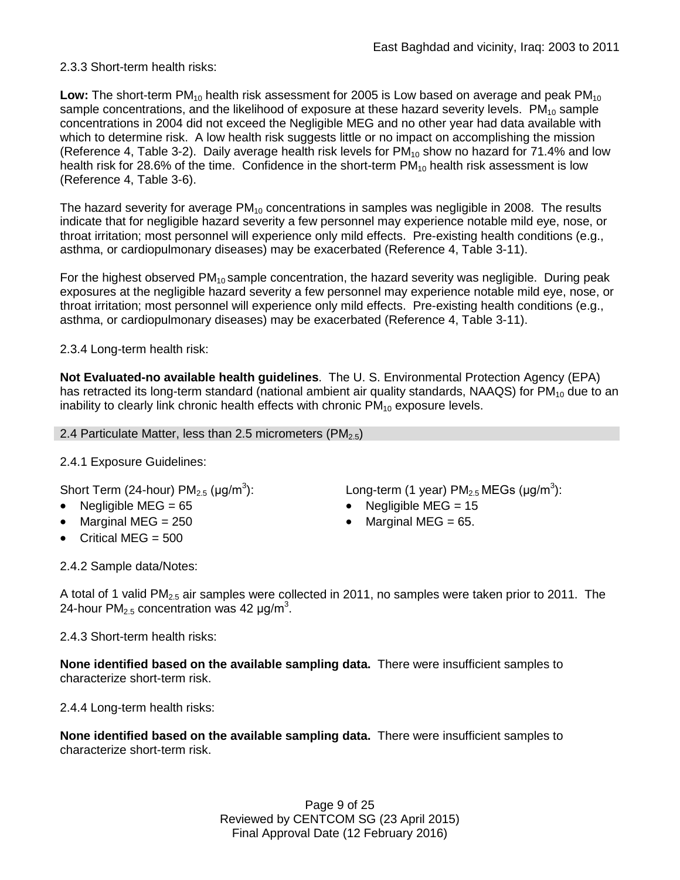## 2.3.3 Short-term health risks:

**Low:** The short-term PM<sub>10</sub> health risk assessment for 2005 is Low based on average and peak PM<sub>10</sub> sample concentrations, and the likelihood of exposure at these hazard severity levels.  $PM_{10}$  sample concentrations in 2004 did not exceed the Negligible MEG and no other year had data available with which to determine risk. A low health risk suggests little or no impact on accomplishing the mission (Reference 4, Table 3-2). Daily average health risk levels for  $PM_{10}$  show no hazard for 71.4% and low health risk for 28.6% of the time. Confidence in the short-term  $PM_{10}$  health risk assessment is low (Reference 4, Table 3-6).

The hazard severity for average  $PM_{10}$  concentrations in samples was negligible in 2008. The results indicate that for negligible hazard severity a few personnel may experience notable mild eye, nose, or throat irritation; most personnel will experience only mild effects. Pre-existing health conditions (e.g., asthma, or cardiopulmonary diseases) may be exacerbated (Reference 4, Table 3-11).

For the highest observed  $PM_{10}$  sample concentration, the hazard severity was negligible. During peak exposures at the negligible hazard severity a few personnel may experience notable mild eye, nose, or throat irritation; most personnel will experience only mild effects. Pre-existing health conditions (e.g., asthma, or cardiopulmonary diseases) may be exacerbated (Reference 4, Table 3-11).

## 2.3.4 Long-term health risk:

**Not Evaluated-no available health guidelines**. The U. S. Environmental Protection Agency (EPA) has retracted its long-term standard (national ambient air quality standards, NAAQS) for  $PM_{10}$  due to an inability to clearly link chronic health effects with chronic  $PM_{10}$  exposure levels.

### 2.4 Particulate Matter, less than 2.5 micrometers ( $PM_{2.5}$ )

# 2.4.1 Exposure Guidelines:

Short Term (24-hour)  $PM_{2.5}$  ( $\mu$ g/m<sup>3</sup>):

- 
- Marginal MEG =  $250$  Marginal MEG =  $65$ .
- Critical MEG = 500

): Long-term (1 year)  $PM_{2.5}$ MEGs (µg/m<sup>3</sup>):

- Negligible MEG = 65 Negligible MEG = 15
	-

2.4.2 Sample data/Notes:

A total of 1 valid PM<sub>2.5</sub> air samples were collected in 2011, no samples were taken prior to 2011. The 24-hour PM<sub>2.5</sub> concentration was 42  $\mu$ g/m<sup>3</sup>.

2.4.3 Short-term health risks:

**None identified based on the available sampling data.** There were insufficient samples to characterize short-term risk.

2.4.4 Long-term health risks:

**None identified based on the available sampling data.** There were insufficient samples to characterize short-term risk.

> Page 9 of 25 Reviewed by CENTCOM SG (23 April 2015) Final Approval Date (12 February 2016)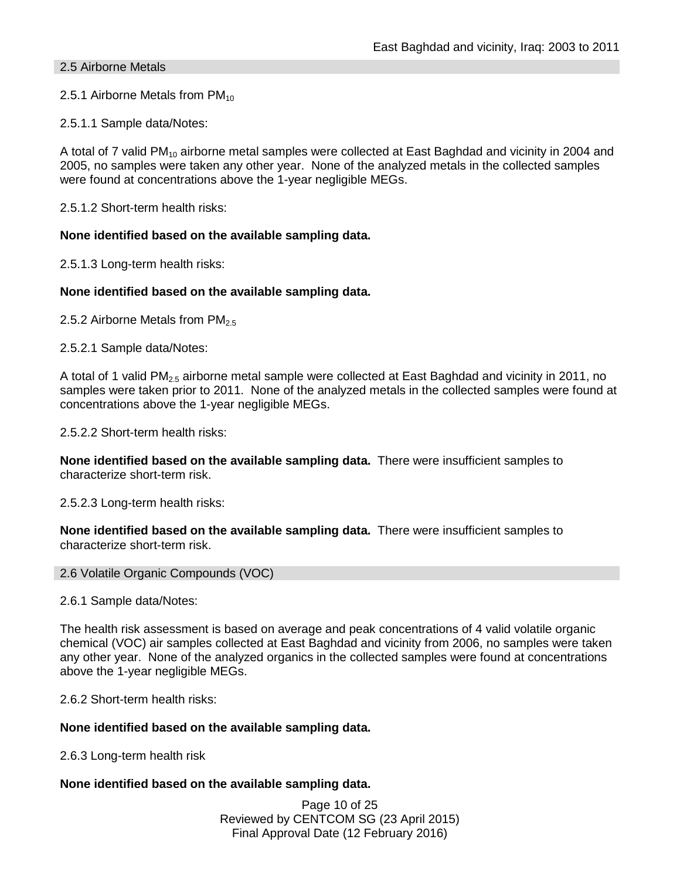### 2.5 Airborne Metals

2.5.1 Airborne Metals from  $PM_{10}$ 

2.5.1.1 Sample data/Notes:

A total of 7 valid PM<sub>10</sub> airborne metal samples were collected at East Baghdad and vicinity in 2004 and 2005, no samples were taken any other year. None of the analyzed metals in the collected samples were found at concentrations above the 1-year negligible MEGs.

2.5.1.2 Short-term health risks:

#### **None identified based on the available sampling data.**

2.5.1.3 Long-term health risks:

### **None identified based on the available sampling data.**

2.5.2 Airborne Metals from  $PM_{2.5}$ 

2.5.2.1 Sample data/Notes:

A total of 1 valid PM2.5 airborne metal sample were collected at East Baghdad and vicinity in 2011, no samples were taken prior to 2011. None of the analyzed metals in the collected samples were found at concentrations above the 1-year negligible MEGs.

2.5.2.2 Short-term health risks:

**None identified based on the available sampling data.** There were insufficient samples to characterize short-term risk.

2.5.2.3 Long-term health risks:

**None identified based on the available sampling data.** There were insufficient samples to characterize short-term risk.

#### 2.6 Volatile Organic Compounds (VOC)

2.6.1 Sample data/Notes:

The health risk assessment is based on average and peak concentrations of 4 valid volatile organic chemical (VOC) air samples collected at East Baghdad and vicinity from 2006, no samples were taken any other year. None of the analyzed organics in the collected samples were found at concentrations above the 1-year negligible MEGs.

2.6.2 Short-term health risks:

#### **None identified based on the available sampling data.**

2.6.3 Long-term health risk

#### **None identified based on the available sampling data.**

Page 10 of 25 Reviewed by CENTCOM SG (23 April 2015) Final Approval Date (12 February 2016)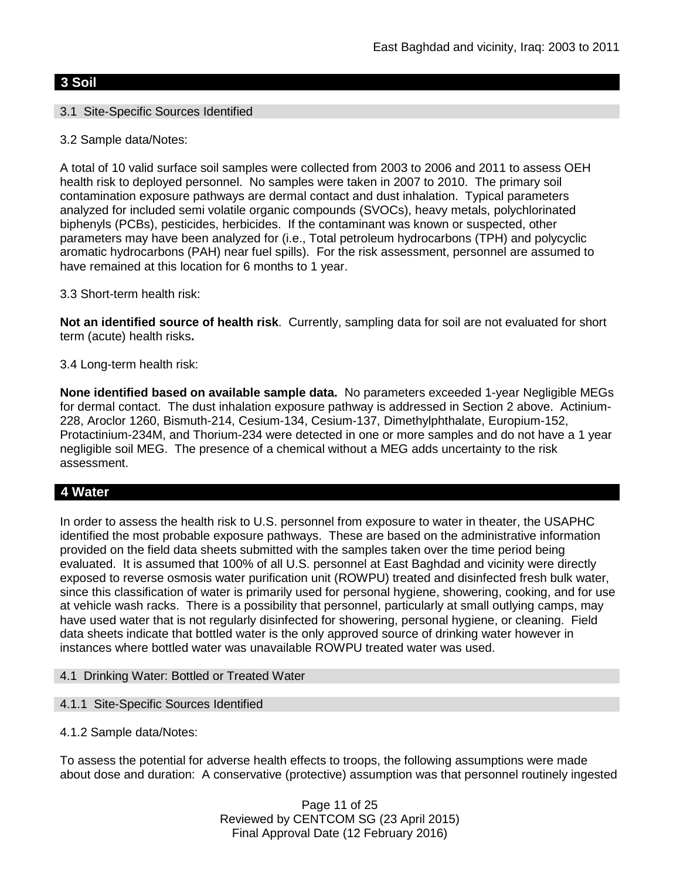### **3 Soil**

### 3.1 Site-Specific Sources Identified

3.2 Sample data/Notes:

A total of 10 valid surface soil samples were collected from 2003 to 2006 and 2011 to assess OEH health risk to deployed personnel. No samples were taken in 2007 to 2010. The primary soil contamination exposure pathways are dermal contact and dust inhalation. Typical parameters analyzed for included semi volatile organic compounds (SVOCs), heavy metals, polychlorinated biphenyls (PCBs), pesticides, herbicides. If the contaminant was known or suspected, other parameters may have been analyzed for (i.e., Total petroleum hydrocarbons (TPH) and polycyclic aromatic hydrocarbons (PAH) near fuel spills). For the risk assessment, personnel are assumed to have remained at this location for 6 months to 1 year.

3.3 Short-term health risk:

**Not an identified source of health risk**. Currently, sampling data for soil are not evaluated for short term (acute) health risks**.**

3.4 Long-term health risk:

**None identified based on available sample data.** No parameters exceeded 1-year Negligible MEGs for dermal contact. The dust inhalation exposure pathway is addressed in Section 2 above. Actinium-228, Aroclor 1260, Bismuth-214, Cesium-134, Cesium-137, Dimethylphthalate, Europium-152, Protactinium-234M, and Thorium-234 were detected in one or more samples and do not have a 1 year negligible soil MEG. The presence of a chemical without a MEG adds uncertainty to the risk assessment.

### **4 Water**

In order to assess the health risk to U.S. personnel from exposure to water in theater, the USAPHC identified the most probable exposure pathways. These are based on the administrative information provided on the field data sheets submitted with the samples taken over the time period being evaluated. It is assumed that 100% of all U.S. personnel at East Baghdad and vicinity were directly exposed to reverse osmosis water purification unit (ROWPU) treated and disinfected fresh bulk water, since this classification of water is primarily used for personal hygiene, showering, cooking, and for use at vehicle wash racks. There is a possibility that personnel, particularly at small outlying camps, may have used water that is not regularly disinfected for showering, personal hygiene, or cleaning. Field data sheets indicate that bottled water is the only approved source of drinking water however in instances where bottled water was unavailable ROWPU treated water was used.

- 4.1 Drinking Water: Bottled or Treated Water
- 4.1.1 Site-Specific Sources Identified
- 4.1.2 Sample data/Notes:

To assess the potential for adverse health effects to troops, the following assumptions were made about dose and duration: A conservative (protective) assumption was that personnel routinely ingested

> Page 11 of 25 Reviewed by CENTCOM SG (23 April 2015) Final Approval Date (12 February 2016)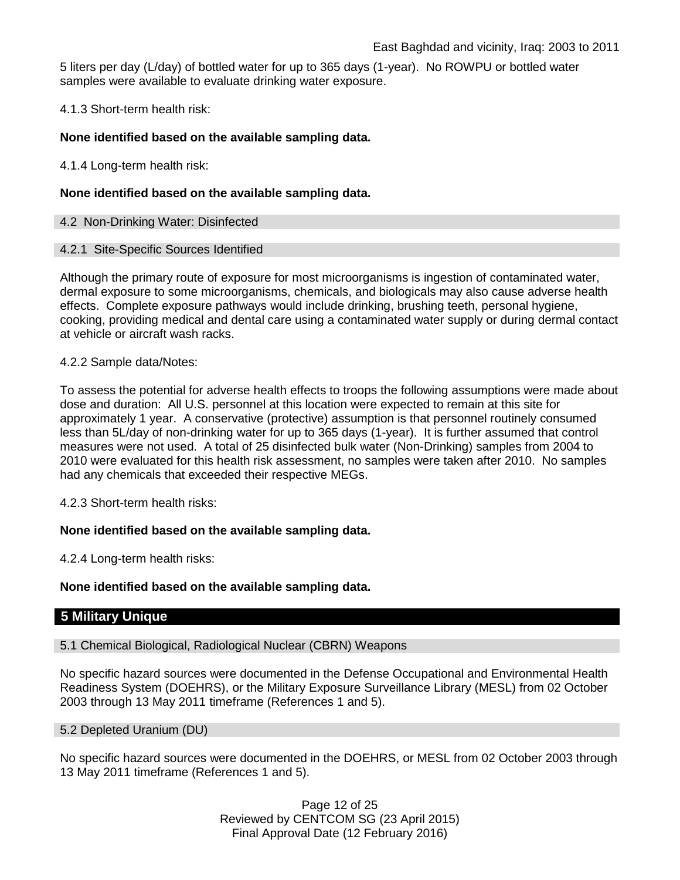5 liters per day (L/day) of bottled water for up to 365 days (1-year). No ROWPU or bottled water samples were available to evaluate drinking water exposure.

4.1.3 Short-term health risk:

### **None identified based on the available sampling data.**

4.1.4 Long-term health risk:

### **None identified based on the available sampling data.**

### 4.2 Non-Drinking Water: Disinfected

#### 4.2.1 Site-Specific Sources Identified

Although the primary route of exposure for most microorganisms is ingestion of contaminated water, dermal exposure to some microorganisms, chemicals, and biologicals may also cause adverse health effects. Complete exposure pathways would include drinking, brushing teeth, personal hygiene, cooking, providing medical and dental care using a contaminated water supply or during dermal contact at vehicle or aircraft wash racks.

### 4.2.2 Sample data/Notes:

To assess the potential for adverse health effects to troops the following assumptions were made about dose and duration: All U.S. personnel at this location were expected to remain at this site for approximately 1 year. A conservative (protective) assumption is that personnel routinely consumed less than 5L/day of non-drinking water for up to 365 days (1-year). It is further assumed that control measures were not used. A total of 25 disinfected bulk water (Non-Drinking) samples from 2004 to 2010 were evaluated for this health risk assessment, no samples were taken after 2010. No samples had any chemicals that exceeded their respective MEGs.

4.2.3 Short-term health risks:

### **None identified based on the available sampling data.**

4.2.4 Long-term health risks:

### **None identified based on the available sampling data.**

### **5 Military Unique**

5.1 Chemical Biological, Radiological Nuclear (CBRN) Weapons

No specific hazard sources were documented in the Defense Occupational and Environmental Health Readiness System (DOEHRS), or the Military Exposure Surveillance Library (MESL) from 02 October 2003 through 13 May 2011 timeframe (References 1 and 5).

#### 5.2 Depleted Uranium (DU)

No specific hazard sources were documented in the DOEHRS, or MESL from 02 October 2003 through 13 May 2011 timeframe (References 1 and 5).

> Page 12 of 25 Reviewed by CENTCOM SG (23 April 2015) Final Approval Date (12 February 2016)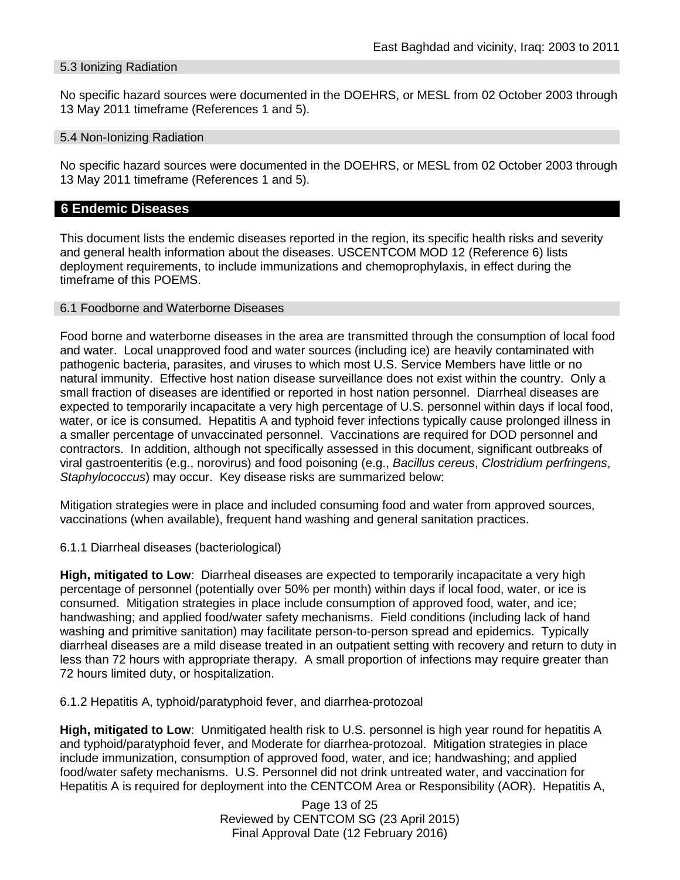#### 5.3 Ionizing Radiation

No specific hazard sources were documented in the DOEHRS, or MESL from 02 October 2003 through 13 May 2011 timeframe (References 1 and 5).

#### 5.4 Non-Ionizing Radiation

No specific hazard sources were documented in the DOEHRS, or MESL from 02 October 2003 through 13 May 2011 timeframe (References 1 and 5).

### **6 Endemic Diseases**

This document lists the endemic diseases reported in the region, its specific health risks and severity and general health information about the diseases. USCENTCOM MOD 12 (Reference 6) lists deployment requirements, to include immunizations and chemoprophylaxis, in effect during the timeframe of this POEMS.

#### 6.1 Foodborne and Waterborne Diseases

Food borne and waterborne diseases in the area are transmitted through the consumption of local food and water. Local unapproved food and water sources (including ice) are heavily contaminated with pathogenic bacteria, parasites, and viruses to which most U.S. Service Members have little or no natural immunity. Effective host nation disease surveillance does not exist within the country. Only a small fraction of diseases are identified or reported in host nation personnel. Diarrheal diseases are expected to temporarily incapacitate a very high percentage of U.S. personnel within days if local food, water, or ice is consumed. Hepatitis A and typhoid fever infections typically cause prolonged illness in a smaller percentage of unvaccinated personnel. Vaccinations are required for DOD personnel and contractors. In addition, although not specifically assessed in this document, significant outbreaks of viral gastroenteritis (e.g., norovirus) and food poisoning (e.g., *Bacillus cereus*, *Clostridium perfringens*, *Staphylococcus*) may occur. Key disease risks are summarized below:

Mitigation strategies were in place and included consuming food and water from approved sources, vaccinations (when available), frequent hand washing and general sanitation practices.

6.1.1 Diarrheal diseases (bacteriological)

**High, mitigated to Low**: Diarrheal diseases are expected to temporarily incapacitate a very high percentage of personnel (potentially over 50% per month) within days if local food, water, or ice is consumed. Mitigation strategies in place include consumption of approved food, water, and ice; handwashing; and applied food/water safety mechanisms. Field conditions (including lack of hand washing and primitive sanitation) may facilitate person-to-person spread and epidemics. Typically diarrheal diseases are a mild disease treated in an outpatient setting with recovery and return to duty in less than 72 hours with appropriate therapy. A small proportion of infections may require greater than 72 hours limited duty, or hospitalization.

6.1.2 Hepatitis A, typhoid/paratyphoid fever, and diarrhea-protozoal

**High, mitigated to Low**: Unmitigated health risk to U.S. personnel is high year round for hepatitis A and typhoid/paratyphoid fever, and Moderate for diarrhea-protozoal. Mitigation strategies in place include immunization, consumption of approved food, water, and ice; handwashing; and applied food/water safety mechanisms. U.S. Personnel did not drink untreated water, and vaccination for Hepatitis A is required for deployment into the CENTCOM Area or Responsibility (AOR). Hepatitis A,

> Page 13 of 25 Reviewed by CENTCOM SG (23 April 2015) Final Approval Date (12 February 2016)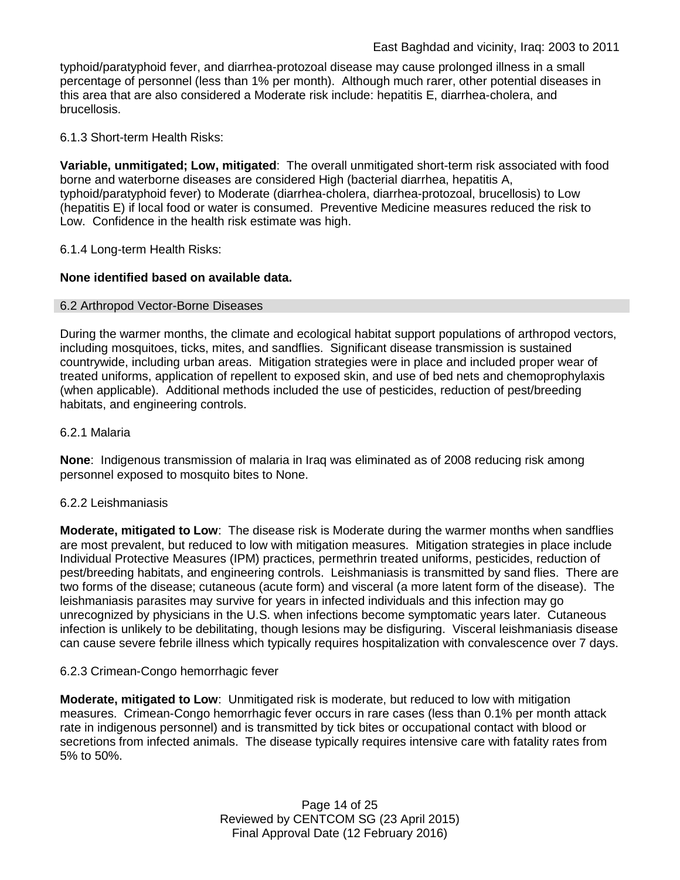typhoid/paratyphoid fever, and diarrhea-protozoal disease may cause prolonged illness in a small percentage of personnel (less than 1% per month). Although much rarer, other potential diseases in this area that are also considered a Moderate risk include: hepatitis E, diarrhea-cholera, and brucellosis.

6.1.3 Short-term Health Risks:

**Variable, unmitigated; Low, mitigated**: The overall unmitigated short-term risk associated with food borne and waterborne diseases are considered High (bacterial diarrhea, hepatitis A, typhoid/paratyphoid fever) to Moderate (diarrhea-cholera, diarrhea-protozoal, brucellosis) to Low (hepatitis E) if local food or water is consumed. Preventive Medicine measures reduced the risk to Low. Confidence in the health risk estimate was high.

6.1.4 Long-term Health Risks:

## **None identified based on available data.**

### 6.2 Arthropod Vector-Borne Diseases

During the warmer months, the climate and ecological habitat support populations of arthropod vectors, including mosquitoes, ticks, mites, and sandflies. Significant disease transmission is sustained countrywide, including urban areas. Mitigation strategies were in place and included proper wear of treated uniforms, application of repellent to exposed skin, and use of bed nets and chemoprophylaxis (when applicable). Additional methods included the use of pesticides, reduction of pest/breeding habitats, and engineering controls.

### 6.2.1 Malaria

**None**: Indigenous transmission of malaria in Iraq was eliminated as of 2008 reducing risk among personnel exposed to mosquito bites to None.

### 6.2.2 Leishmaniasis

**Moderate, mitigated to Low**: The disease risk is Moderate during the warmer months when sandflies are most prevalent, but reduced to low with mitigation measures. Mitigation strategies in place include Individual Protective Measures (IPM) practices, permethrin treated uniforms, pesticides, reduction of pest/breeding habitats, and engineering controls. Leishmaniasis is transmitted by sand flies. There are two forms of the disease; cutaneous (acute form) and visceral (a more latent form of the disease). The leishmaniasis parasites may survive for years in infected individuals and this infection may go unrecognized by physicians in the U.S. when infections become symptomatic years later. Cutaneous infection is unlikely to be debilitating, though lesions may be disfiguring. Visceral leishmaniasis disease can cause severe febrile illness which typically requires hospitalization with convalescence over 7 days.

### 6.2.3 Crimean-Congo hemorrhagic fever

**Moderate, mitigated to Low**: Unmitigated risk is moderate, but reduced to low with mitigation measures. Crimean-Congo hemorrhagic fever occurs in rare cases (less than 0.1% per month attack rate in indigenous personnel) and is transmitted by tick bites or occupational contact with blood or secretions from infected animals. The disease typically requires intensive care with fatality rates from 5% to 50%.

> Page 14 of 25 Reviewed by CENTCOM SG (23 April 2015) Final Approval Date (12 February 2016)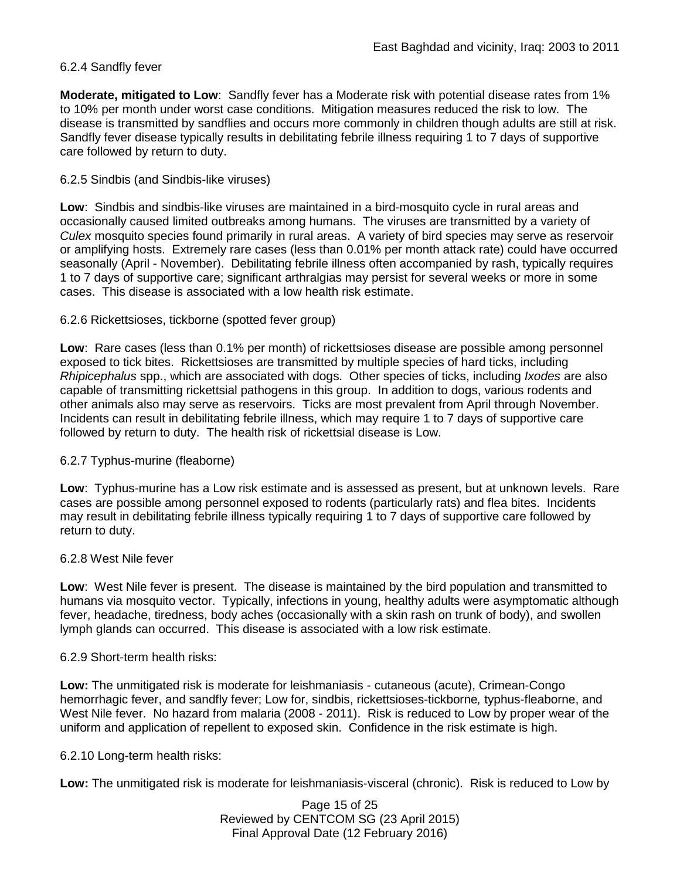### 6.2.4 Sandfly fever

**Moderate, mitigated to Low**: Sandfly fever has a Moderate risk with potential disease rates from 1% to 10% per month under worst case conditions. Mitigation measures reduced the risk to low. The disease is transmitted by sandflies and occurs more commonly in children though adults are still at risk. Sandfly fever disease typically results in debilitating febrile illness requiring 1 to 7 days of supportive care followed by return to duty.

### 6.2.5 Sindbis (and Sindbis-like viruses)

**Low**: Sindbis and sindbis-like viruses are maintained in a bird-mosquito cycle in rural areas and occasionally caused limited outbreaks among humans. The viruses are transmitted by a variety of *Culex* mosquito species found primarily in rural areas. A variety of bird species may serve as reservoir or amplifying hosts. Extremely rare cases (less than 0.01% per month attack rate) could have occurred seasonally (April - November). Debilitating febrile illness often accompanied by rash, typically requires 1 to 7 days of supportive care; significant arthralgias may persist for several weeks or more in some cases. This disease is associated with a low health risk estimate.

### 6.2.6 Rickettsioses, tickborne (spotted fever group)

**Low**: Rare cases (less than 0.1% per month) of rickettsioses disease are possible among personnel exposed to tick bites. Rickettsioses are transmitted by multiple species of hard ticks, including *Rhipicephalus* spp., which are associated with dogs. Other species of ticks, including *Ixodes* are also capable of transmitting rickettsial pathogens in this group. In addition to dogs, various rodents and other animals also may serve as reservoirs. Ticks are most prevalent from April through November. Incidents can result in debilitating febrile illness, which may require 1 to 7 days of supportive care followed by return to duty. The health risk of rickettsial disease is Low.

### 6.2.7 Typhus-murine (fleaborne)

**Low**: Typhus-murine has a Low risk estimate and is assessed as present, but at unknown levels. Rare cases are possible among personnel exposed to rodents (particularly rats) and flea bites. Incidents may result in debilitating febrile illness typically requiring 1 to 7 days of supportive care followed by return to duty.

#### 6.2.8 West Nile fever

**Low**: West Nile fever is present. The disease is maintained by the bird population and transmitted to humans via mosquito vector. Typically, infections in young, healthy adults were asymptomatic although fever, headache, tiredness, body aches (occasionally with a skin rash on trunk of body), and swollen lymph glands can occurred. This disease is associated with a low risk estimate.

#### 6.2.9 Short-term health risks:

**Low:** The unmitigated risk is moderate for leishmaniasis - cutaneous (acute), Crimean-Congo hemorrhagic fever, and sandfly fever; Low for, sindbis, rickettsioses-tickborne*,* typhus-fleaborne, and West Nile fever. No hazard from malaria (2008 - 2011). Risk is reduced to Low by proper wear of the uniform and application of repellent to exposed skin. Confidence in the risk estimate is high.

### 6.2.10 Long-term health risks:

**Low:** The unmitigated risk is moderate for leishmaniasis-visceral (chronic). Risk is reduced to Low by

Page 15 of 25 Reviewed by CENTCOM SG (23 April 2015) Final Approval Date (12 February 2016)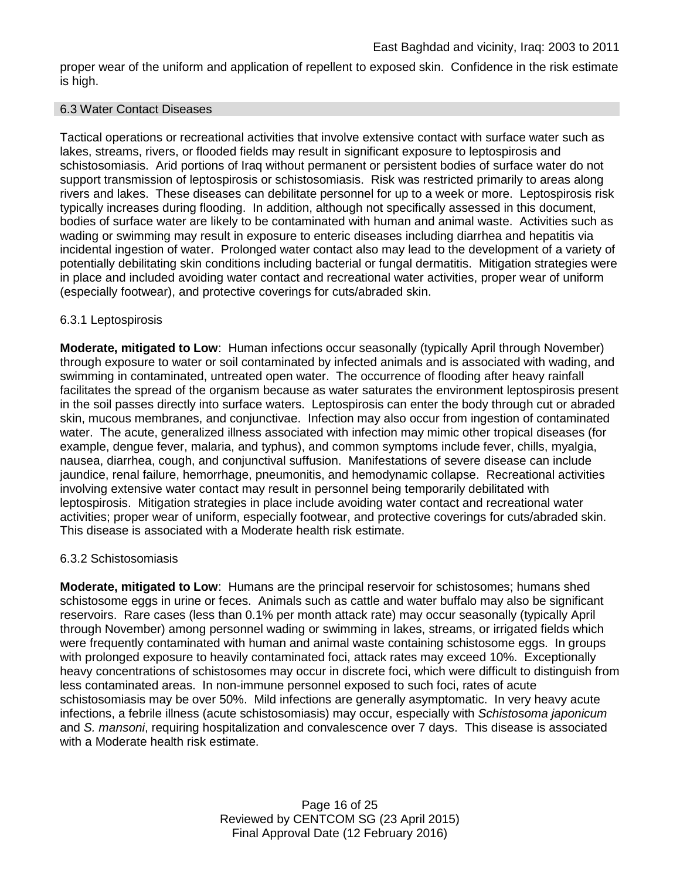proper wear of the uniform and application of repellent to exposed skin. Confidence in the risk estimate is high.

#### 6.3 Water Contact Diseases

Tactical operations or recreational activities that involve extensive contact with surface water such as lakes, streams, rivers, or flooded fields may result in significant exposure to leptospirosis and schistosomiasis. Arid portions of Iraq without permanent or persistent bodies of surface water do not support transmission of leptospirosis or schistosomiasis. Risk was restricted primarily to areas along rivers and lakes. These diseases can debilitate personnel for up to a week or more. Leptospirosis risk typically increases during flooding. In addition, although not specifically assessed in this document, bodies of surface water are likely to be contaminated with human and animal waste. Activities such as wading or swimming may result in exposure to enteric diseases including diarrhea and hepatitis via incidental ingestion of water. Prolonged water contact also may lead to the development of a variety of potentially debilitating skin conditions including bacterial or fungal dermatitis. Mitigation strategies were in place and included avoiding water contact and recreational water activities, proper wear of uniform (especially footwear), and protective coverings for cuts/abraded skin.

### 6.3.1 Leptospirosis

**Moderate, mitigated to Low**: Human infections occur seasonally (typically April through November) through exposure to water or soil contaminated by infected animals and is associated with wading, and swimming in contaminated, untreated open water. The occurrence of flooding after heavy rainfall facilitates the spread of the organism because as water saturates the environment leptospirosis present in the soil passes directly into surface waters. Leptospirosis can enter the body through cut or abraded skin, mucous membranes, and conjunctivae. Infection may also occur from ingestion of contaminated water. The acute, generalized illness associated with infection may mimic other tropical diseases (for example, dengue fever, malaria, and typhus), and common symptoms include fever, chills, myalgia, nausea, diarrhea, cough, and conjunctival suffusion. Manifestations of severe disease can include jaundice, renal failure, hemorrhage, pneumonitis, and hemodynamic collapse. Recreational activities involving extensive water contact may result in personnel being temporarily debilitated with leptospirosis. Mitigation strategies in place include avoiding water contact and recreational water activities; proper wear of uniform, especially footwear, and protective coverings for cuts/abraded skin. This disease is associated with a Moderate health risk estimate.

#### 6.3.2 Schistosomiasis

**Moderate, mitigated to Low**: Humans are the principal reservoir for schistosomes; humans shed schistosome eggs in urine or feces. Animals such as cattle and water buffalo may also be significant reservoirs. Rare cases (less than 0.1% per month attack rate) may occur seasonally (typically April through November) among personnel wading or swimming in lakes, streams, or irrigated fields which were frequently contaminated with human and animal waste containing schistosome eggs. In groups with prolonged exposure to heavily contaminated foci, attack rates may exceed 10%. Exceptionally heavy concentrations of schistosomes may occur in discrete foci, which were difficult to distinguish from less contaminated areas. In non-immune personnel exposed to such foci, rates of acute schistosomiasis may be over 50%. Mild infections are generally asymptomatic. In very heavy acute infections, a febrile illness (acute schistosomiasis) may occur, especially with *Schistosoma japonicum*  and *S. mansoni*, requiring hospitalization and convalescence over 7 days. This disease is associated with a Moderate health risk estimate.

> Page 16 of 25 Reviewed by CENTCOM SG (23 April 2015) Final Approval Date (12 February 2016)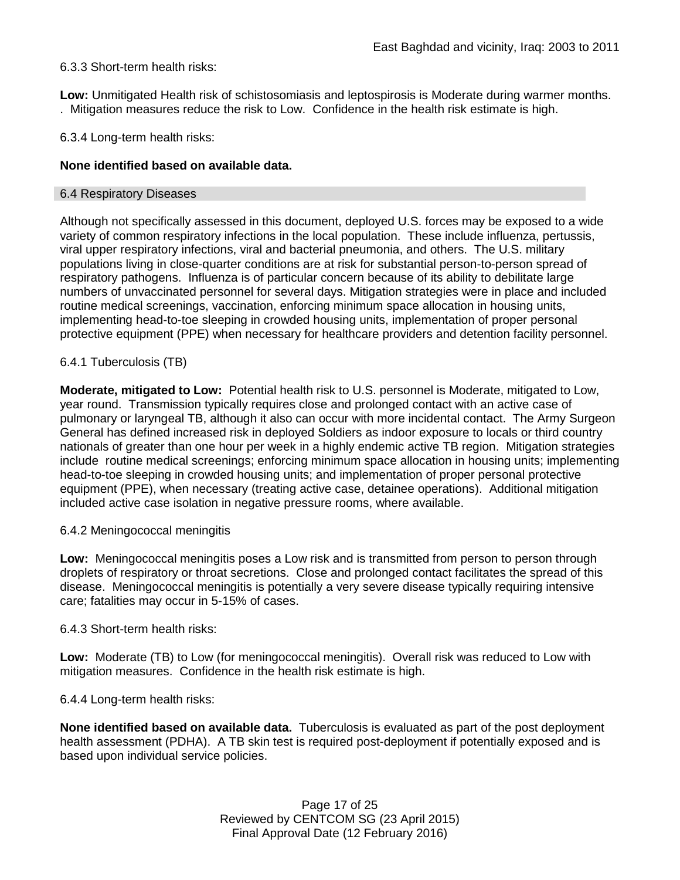### 6.3.3 Short-term health risks:

**Low:** Unmitigated Health risk of schistosomiasis and leptospirosis is Moderate during warmer months. . Mitigation measures reduce the risk to Low. Confidence in the health risk estimate is high.

6.3.4 Long-term health risks:

### **None identified based on available data.**

#### 6.4 Respiratory Diseases

Although not specifically assessed in this document, deployed U.S. forces may be exposed to a wide variety of common respiratory infections in the local population. These include influenza, pertussis, viral upper respiratory infections, viral and bacterial pneumonia, and others. The U.S. military populations living in close-quarter conditions are at risk for substantial person-to-person spread of respiratory pathogens. Influenza is of particular concern because of its ability to debilitate large numbers of unvaccinated personnel for several days. Mitigation strategies were in place and included routine medical screenings, vaccination, enforcing minimum space allocation in housing units, implementing head-to-toe sleeping in crowded housing units, implementation of proper personal protective equipment (PPE) when necessary for healthcare providers and detention facility personnel.

### 6.4.1 Tuberculosis (TB)

**Moderate, mitigated to Low:** Potential health risk to U.S. personnel is Moderate, mitigated to Low, year round. Transmission typically requires close and prolonged contact with an active case of pulmonary or laryngeal TB, although it also can occur with more incidental contact. The Army Surgeon General has defined increased risk in deployed Soldiers as indoor exposure to locals or third country nationals of greater than one hour per week in a highly endemic active TB region. Mitigation strategies include routine medical screenings; enforcing minimum space allocation in housing units; implementing head-to-toe sleeping in crowded housing units; and implementation of proper personal protective equipment (PPE), when necessary (treating active case, detainee operations). Additional mitigation included active case isolation in negative pressure rooms, where available.

#### 6.4.2 Meningococcal meningitis

**Low:** Meningococcal meningitis poses a Low risk and is transmitted from person to person through droplets of respiratory or throat secretions. Close and prolonged contact facilitates the spread of this disease. Meningococcal meningitis is potentially a very severe disease typically requiring intensive care; fatalities may occur in 5-15% of cases.

#### 6.4.3 Short-term health risks:

**Low:** Moderate (TB) to Low (for meningococcal meningitis). Overall risk was reduced to Low with mitigation measures. Confidence in the health risk estimate is high.

6.4.4 Long-term health risks:

**None identified based on available data.** Tuberculosis is evaluated as part of the post deployment health assessment (PDHA). A TB skin test is required post-deployment if potentially exposed and is based upon individual service policies.

> Page 17 of 25 Reviewed by CENTCOM SG (23 April 2015) Final Approval Date (12 February 2016)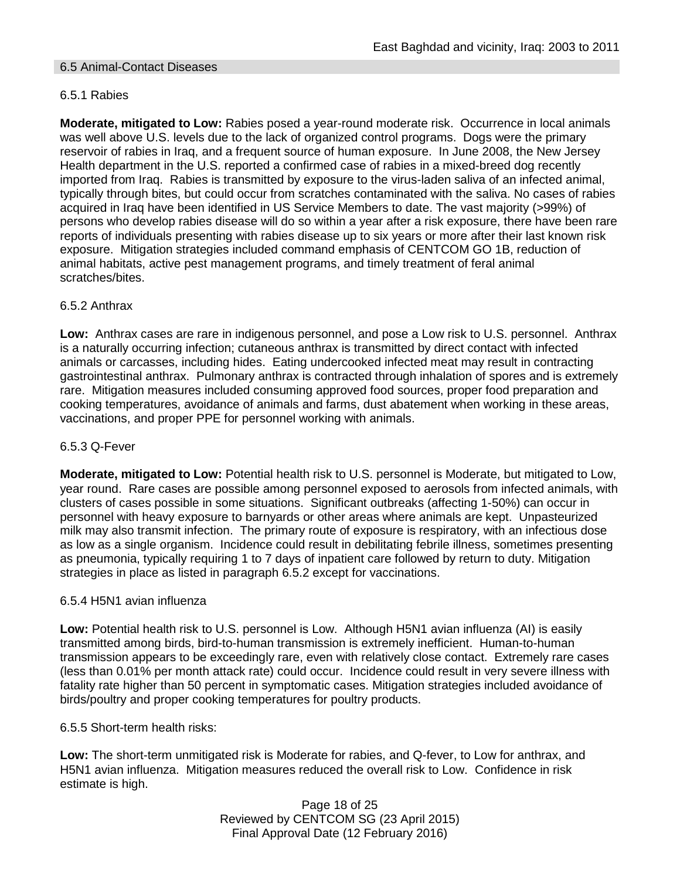### 6.5 Animal-Contact Diseases

### 6.5.1 Rabies

**Moderate, mitigated to Low:** Rabies posed a year-round moderate risk. Occurrence in local animals was well above U.S. levels due to the lack of organized control programs. Dogs were the primary reservoir of rabies in Iraq, and a frequent source of human exposure. In June 2008, the New Jersey Health department in the U.S. reported a confirmed case of rabies in a mixed-breed dog recently imported from Iraq. Rabies is transmitted by exposure to the virus-laden saliva of an infected animal, typically through bites, but could occur from scratches contaminated with the saliva. No cases of rabies acquired in Iraq have been identified in US Service Members to date. The vast majority (>99%) of persons who develop rabies disease will do so within a year after a risk exposure, there have been rare reports of individuals presenting with rabies disease up to six years or more after their last known risk exposure. Mitigation strategies included command emphasis of CENTCOM GO 1B, reduction of animal habitats, active pest management programs, and timely treatment of feral animal scratches/bites.

### 6.5.2 Anthrax

**Low:** Anthrax cases are rare in indigenous personnel, and pose a Low risk to U.S. personnel. Anthrax is a naturally occurring infection; cutaneous anthrax is transmitted by direct contact with infected animals or carcasses, including hides. Eating undercooked infected meat may result in contracting gastrointestinal anthrax. Pulmonary anthrax is contracted through inhalation of spores and is extremely rare. Mitigation measures included consuming approved food sources, proper food preparation and cooking temperatures, avoidance of animals and farms, dust abatement when working in these areas, vaccinations, and proper PPE for personnel working with animals.

#### 6.5.3 Q-Fever

**Moderate, mitigated to Low:** Potential health risk to U.S. personnel is Moderate, but mitigated to Low, year round. Rare cases are possible among personnel exposed to aerosols from infected animals, with clusters of cases possible in some situations. Significant outbreaks (affecting 1-50%) can occur in personnel with heavy exposure to barnyards or other areas where animals are kept. Unpasteurized milk may also transmit infection. The primary route of exposure is respiratory, with an infectious dose as low as a single organism. Incidence could result in debilitating febrile illness, sometimes presenting as pneumonia, typically requiring 1 to 7 days of inpatient care followed by return to duty. Mitigation strategies in place as listed in paragraph 6.5.2 except for vaccinations.

#### 6.5.4 H5N1 avian influenza

**Low:** Potential health risk to U.S. personnel is Low. Although H5N1 avian influenza (AI) is easily transmitted among birds, bird-to-human transmission is extremely inefficient. Human-to-human transmission appears to be exceedingly rare, even with relatively close contact. Extremely rare cases (less than 0.01% per month attack rate) could occur. Incidence could result in very severe illness with fatality rate higher than 50 percent in symptomatic cases. Mitigation strategies included avoidance of birds/poultry and proper cooking temperatures for poultry products.

#### 6.5.5 Short-term health risks:

**Low:** The short-term unmitigated risk is Moderate for rabies, and Q-fever, to Low for anthrax, and H5N1 avian influenza. Mitigation measures reduced the overall risk to Low.Confidence in risk estimate is high.

> Page 18 of 25 Reviewed by CENTCOM SG (23 April 2015) Final Approval Date (12 February 2016)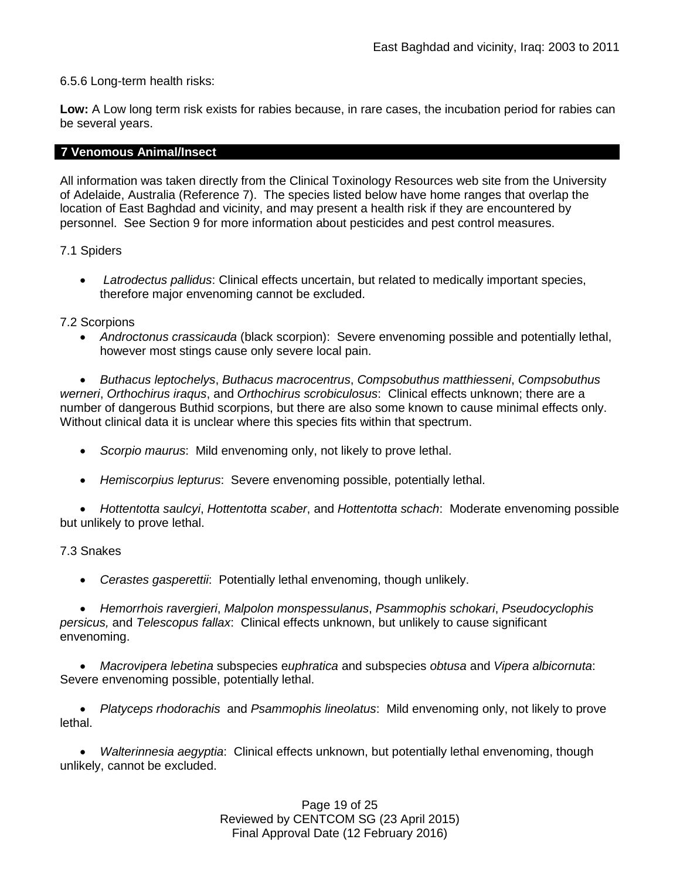6.5.6 Long-term health risks:

**Low:** A Low long term risk exists for rabies because, in rare cases, the incubation period for rabies can be several years.

### **7 Venomous Animal/Insect**

All information was taken directly from the Clinical Toxinology Resources web site from the University of Adelaide, Australia (Reference 7). The species listed below have home ranges that overlap the location of East Baghdad and vicinity, and may present a health risk if they are encountered by personnel. See Section 9 for more information about pesticides and pest control measures.

7.1 Spiders

• *Latrodectus pallidus*: Clinical effects uncertain, but related to medically important species, therefore major envenoming cannot be excluded.

### 7.2 Scorpions

• *Androctonus crassicauda* (black scorpion): Severe envenoming possible and potentially lethal, however most stings cause only severe local pain.

• *Buthacus leptochelys*, *Buthacus macrocentrus*, *Compsobuthus matthiesseni*, *Compsobuthus werneri*, *Orthochirus iraqus*, and *Orthochirus scrobiculosus*: Clinical effects unknown; there are a number of dangerous Buthid scorpions, but there are also some known to cause minimal effects only. Without clinical data it is unclear where this species fits within that spectrum.

- *Scorpio maurus*: Mild envenoming only, not likely to prove lethal.
- *Hemiscorpius lepturus*: Severe envenoming possible, potentially lethal.

• *Hottentotta saulcyi*, *Hottentotta scaber*, and *Hottentotta schach*: Moderate envenoming possible but unlikely to prove lethal.

#### 7.3 Snakes

• *Cerastes gasperettii*: Potentially lethal envenoming, though unlikely.

• *Hemorrhois ravergieri*, *Malpolon monspessulanus*, *Psammophis schokari*, *Pseudocyclophis persicus,* and *Telescopus fallax*: Clinical effects unknown, but unlikely to cause significant envenoming.

• *Macrovipera lebetina* subspecies e*uphratica* and subspecies *obtusa* and *Vipera albicornuta*: Severe envenoming possible, potentially lethal.

• *Platyceps rhodorachis* and *Psammophis lineolatus*: Mild envenoming only, not likely to prove lethal.

• *Walterinnesia aegyptia*: Clinical effects unknown, but potentially lethal envenoming, though unlikely, cannot be excluded.

> Page 19 of 25 Reviewed by CENTCOM SG (23 April 2015) Final Approval Date (12 February 2016)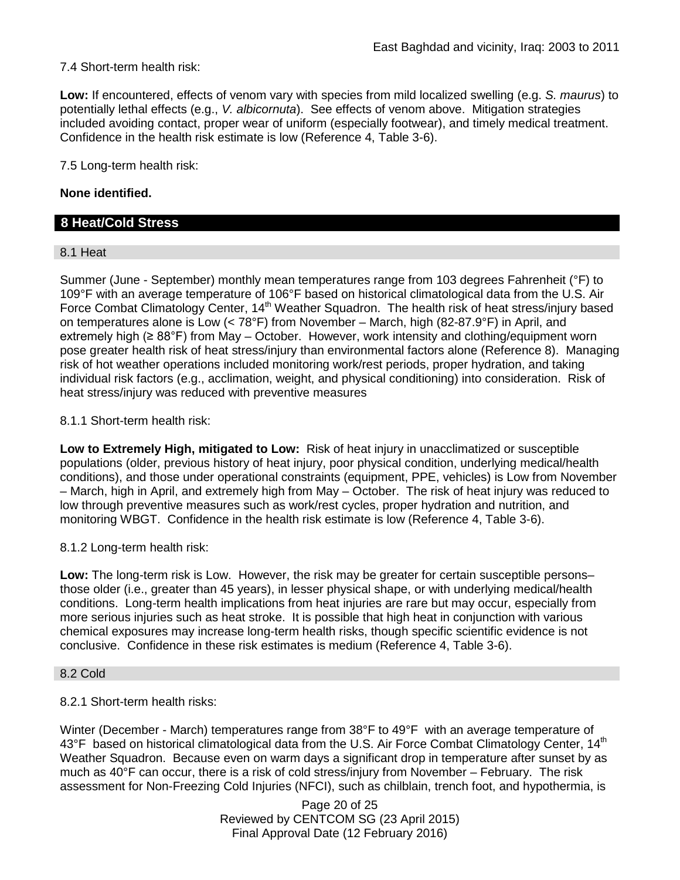7.4 Short-term health risk:

**Low:** If encountered, effects of venom vary with species from mild localized swelling (e.g. *S. maurus*) to potentially lethal effects (e.g., *V. albicornuta*). See effects of venom above. Mitigation strategies included avoiding contact, proper wear of uniform (especially footwear), and timely medical treatment. Confidence in the health risk estimate is low (Reference 4, Table 3-6).

7.5 Long-term health risk:

### **None identified.**

## **8 Heat/Cold Stress**

#### 8.1 Heat

Summer (June - September) monthly mean temperatures range from 103 degrees Fahrenheit (°F) to 109°F with an average temperature of 106°F based on historical climatological data from the U.S. Air Force Combat Climatology Center, 14<sup>th</sup> Weather Squadron. The health risk of heat stress/injury based on temperatures alone is Low (< 78°F) from November – March, high (82-87.9°F) in April, and extremely high (≥ 88°F) from May – October. However, work intensity and clothing/equipment worn pose greater health risk of heat stress/injury than environmental factors alone (Reference 8). Managing risk of hot weather operations included monitoring work/rest periods, proper hydration, and taking individual risk factors (e.g., acclimation, weight, and physical conditioning) into consideration. Risk of heat stress/injury was reduced with preventive measures

### 8.1.1 Short-term health risk:

**Low to Extremely High, mitigated to Low:** Risk of heat injury in unacclimatized or susceptible populations (older, previous history of heat injury, poor physical condition, underlying medical/health conditions), and those under operational constraints (equipment, PPE, vehicles) is Low from November – March, high in April, and extremely high from May – October. The risk of heat injury was reduced to low through preventive measures such as work/rest cycles, proper hydration and nutrition, and monitoring WBGT. Confidence in the health risk estimate is low (Reference 4, Table 3-6).

#### 8.1.2 Long-term health risk:

**Low:** The long-term risk is Low. However, the risk may be greater for certain susceptible persons– those older (i.e., greater than 45 years), in lesser physical shape, or with underlying medical/health conditions. Long-term health implications from heat injuries are rare but may occur, especially from more serious injuries such as heat stroke. It is possible that high heat in conjunction with various chemical exposures may increase long-term health risks, though specific scientific evidence is not conclusive. Confidence in these risk estimates is medium (Reference 4, Table 3-6).

#### 8.2 Cold

#### 8.2.1 Short-term health risks:

Winter (December - March) temperatures range from 38°F to 49°F with an average temperature of 43°F based on historical climatological data from the U.S. Air Force Combat Climatology Center, 14<sup>th</sup> Weather Squadron. Because even on warm days a significant drop in temperature after sunset by as much as 40°F can occur, there is a risk of cold stress/injury from November – February. The risk assessment for Non-Freezing Cold Injuries (NFCI), such as chilblain, trench foot, and hypothermia, is

> Page 20 of 25 Reviewed by CENTCOM SG (23 April 2015) Final Approval Date (12 February 2016)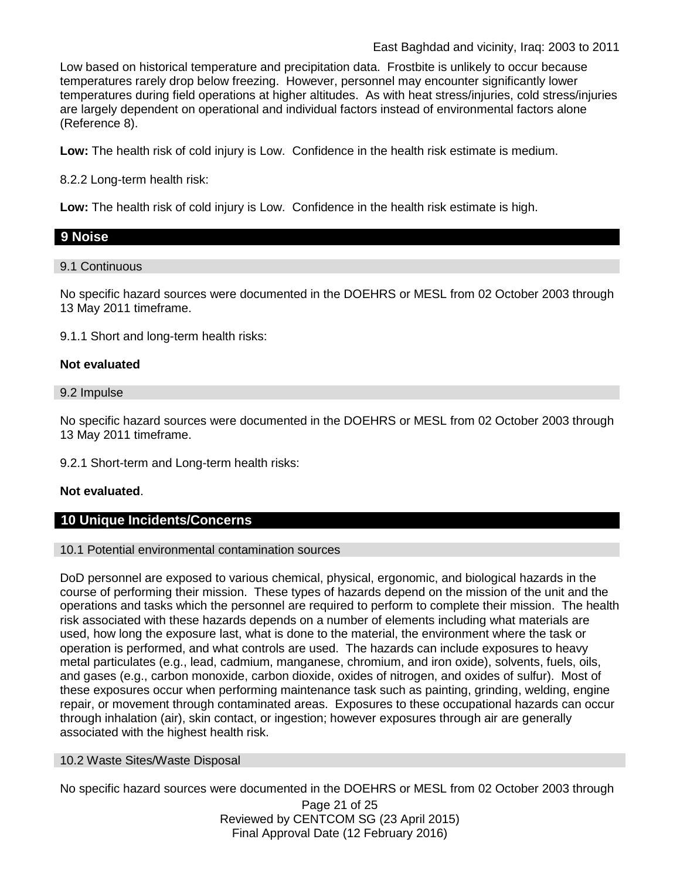Low based on historical temperature and precipitation data. Frostbite is unlikely to occur because temperatures rarely drop below freezing. However, personnel may encounter significantly lower temperatures during field operations at higher altitudes. As with heat stress/injuries, cold stress/injuries are largely dependent on operational and individual factors instead of environmental factors alone (Reference 8).

**Low:** The health risk of cold injury is Low. Confidence in the health risk estimate is medium.

8.2.2 Long-term health risk:

**Low:** The health risk of cold injury is Low. Confidence in the health risk estimate is high.

# **9 Noise**

## 9.1 Continuous

No specific hazard sources were documented in the DOEHRS or MESL from 02 October 2003 through 13 May 2011 timeframe.

9.1.1 Short and long-term health risks:

## **Not evaluated**

### 9.2 Impulse

No specific hazard sources were documented in the DOEHRS or MESL from 02 October 2003 through 13 May 2011 timeframe.

9.2.1 Short-term and Long-term health risks:

### **Not evaluated**.

# **10 Unique Incidents/Concerns**

### 10.1 Potential environmental contamination sources

DoD personnel are exposed to various chemical, physical, ergonomic, and biological hazards in the course of performing their mission. These types of hazards depend on the mission of the unit and the operations and tasks which the personnel are required to perform to complete their mission. The health risk associated with these hazards depends on a number of elements including what materials are used, how long the exposure last, what is done to the material, the environment where the task or operation is performed, and what controls are used. The hazards can include exposures to heavy metal particulates (e.g., lead, cadmium, manganese, chromium, and iron oxide), solvents, fuels, oils, and gases (e.g., carbon monoxide, carbon dioxide, oxides of nitrogen, and oxides of sulfur). Most of these exposures occur when performing maintenance task such as painting, grinding, welding, engine repair, or movement through contaminated areas. Exposures to these occupational hazards can occur through inhalation (air), skin contact, or ingestion; however exposures through air are generally associated with the highest health risk.

#### 10.2 Waste Sites/Waste Disposal

No specific hazard sources were documented in the DOEHRS or MESL from 02 October 2003 through

Page 21 of 25 Reviewed by CENTCOM SG (23 April 2015) Final Approval Date (12 February 2016)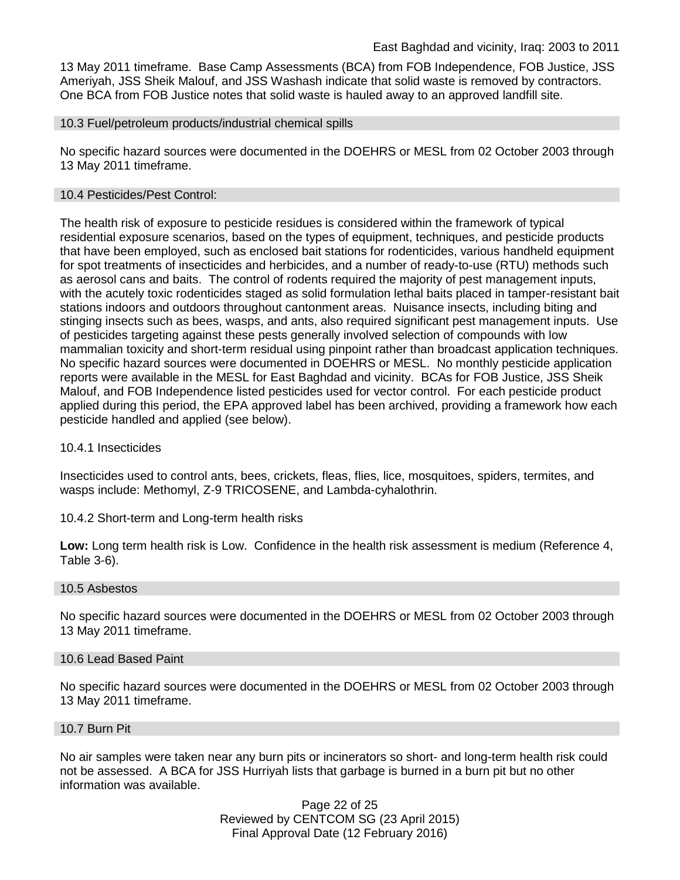13 May 2011 timeframe. Base Camp Assessments (BCA) from FOB Independence, FOB Justice, JSS Ameriyah, JSS Sheik Malouf, and JSS Washash indicate that solid waste is removed by contractors. One BCA from FOB Justice notes that solid waste is hauled away to an approved landfill site.

#### 10.3 Fuel/petroleum products/industrial chemical spills

No specific hazard sources were documented in the DOEHRS or MESL from 02 October 2003 through 13 May 2011 timeframe.

#### 10.4 Pesticides/Pest Control:

The health risk of exposure to pesticide residues is considered within the framework of typical residential exposure scenarios, based on the types of equipment, techniques, and pesticide products that have been employed, such as enclosed bait stations for rodenticides, various handheld equipment for spot treatments of insecticides and herbicides, and a number of ready-to-use (RTU) methods such as aerosol cans and baits. The control of rodents required the majority of pest management inputs, with the acutely toxic rodenticides staged as solid formulation lethal baits placed in tamper-resistant bait stations indoors and outdoors throughout cantonment areas. Nuisance insects, including biting and stinging insects such as bees, wasps, and ants, also required significant pest management inputs. Use of pesticides targeting against these pests generally involved selection of compounds with low mammalian toxicity and short-term residual using pinpoint rather than broadcast application techniques. No specific hazard sources were documented in DOEHRS or MESL. No monthly pesticide application reports were available in the MESL for East Baghdad and vicinity. BCAs for FOB Justice, JSS Sheik Malouf, and FOB Independence listed pesticides used for vector control. For each pesticide product applied during this period, the EPA approved label has been archived, providing a framework how each pesticide handled and applied (see below).

#### 10.4.1 Insecticides

Insecticides used to control ants, bees, crickets, fleas, flies, lice, mosquitoes, spiders, termites, and wasps include: Methomyl, Z-9 TRICOSENE, and Lambda-cyhalothrin.

10.4.2 Short-term and Long-term health risks

**Low:** Long term health risk is Low. Confidence in the health risk assessment is medium (Reference 4, Table 3-6).

#### 10.5 Asbestos

No specific hazard sources were documented in the DOEHRS or MESL from 02 October 2003 through 13 May 2011 timeframe.

#### 10.6 Lead Based Paint

No specific hazard sources were documented in the DOEHRS or MESL from 02 October 2003 through 13 May 2011 timeframe.

#### 10.7 Burn Pit

No air samples were taken near any burn pits or incinerators so short- and long-term health risk could not be assessed. A BCA for JSS Hurriyah lists that garbage is burned in a burn pit but no other information was available.

> Page 22 of 25 Reviewed by CENTCOM SG (23 April 2015) Final Approval Date (12 February 2016)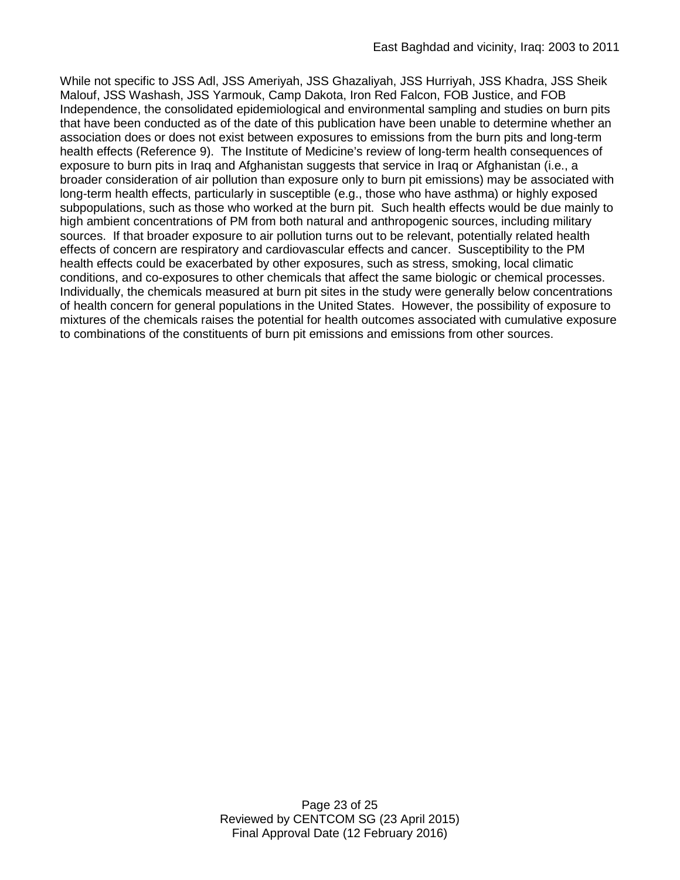While not specific to JSS Adl, JSS Ameriyah, JSS Ghazaliyah, JSS Hurriyah, JSS Khadra, JSS Sheik Malouf, JSS Washash, JSS Yarmouk, Camp Dakota, Iron Red Falcon, FOB Justice, and FOB Independence, the consolidated epidemiological and environmental sampling and studies on burn pits that have been conducted as of the date of this publication have been unable to determine whether an association does or does not exist between exposures to emissions from the burn pits and long-term health effects (Reference 9). The Institute of Medicine's review of long-term health consequences of exposure to burn pits in Iraq and Afghanistan suggests that service in Iraq or Afghanistan (i.e., a broader consideration of air pollution than exposure only to burn pit emissions) may be associated with long-term health effects, particularly in susceptible (e.g., those who have asthma) or highly exposed subpopulations, such as those who worked at the burn pit. Such health effects would be due mainly to high ambient concentrations of PM from both natural and anthropogenic sources, including military sources. If that broader exposure to air pollution turns out to be relevant, potentially related health effects of concern are respiratory and cardiovascular effects and cancer. Susceptibility to the PM health effects could be exacerbated by other exposures, such as stress, smoking, local climatic conditions, and co-exposures to other chemicals that affect the same biologic or chemical processes. Individually, the chemicals measured at burn pit sites in the study were generally below concentrations of health concern for general populations in the United States. However, the possibility of exposure to mixtures of the chemicals raises the potential for health outcomes associated with cumulative exposure to combinations of the constituents of burn pit emissions and emissions from other sources.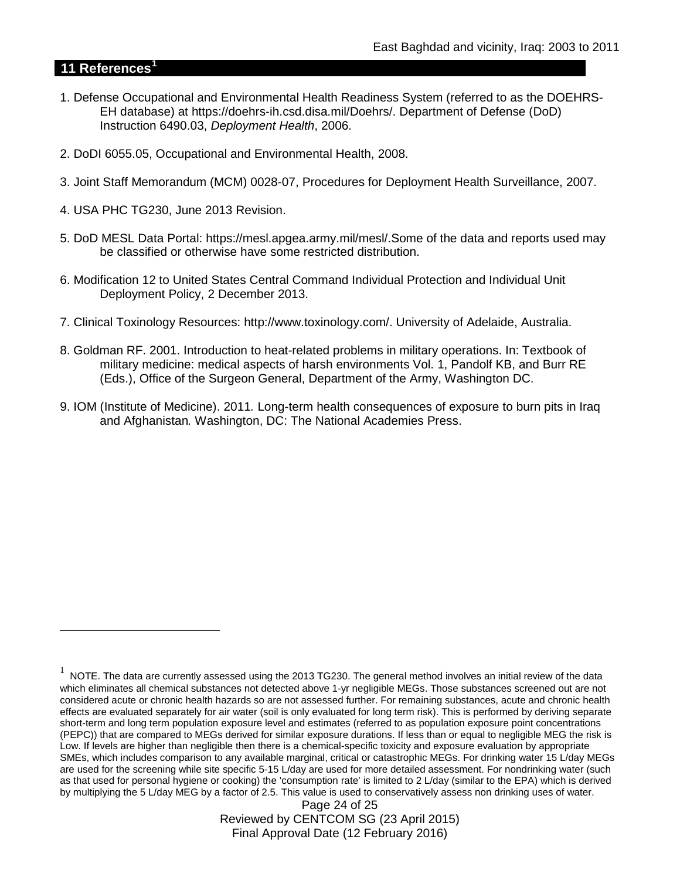## **11 References[1](#page-23-0)**

 $\overline{a}$ 

- 1. Defense Occupational and Environmental Health Readiness System (referred to as the DOEHRS-EH database) at https://doehrs-ih.csd.disa.mil/Doehrs/. Department of Defense (DoD) Instruction 6490.03, *Deployment Health*, 2006.
- 2. DoDI 6055.05, Occupational and Environmental Health, 2008.
- 3. Joint Staff Memorandum (MCM) 0028-07, Procedures for Deployment Health Surveillance, 2007.
- 4. USA PHC TG230, June 2013 Revision.
- 5. DoD MESL Data Portal: https://mesl.apgea.army.mil/mesl/.Some of the data and reports used may be classified or otherwise have some restricted distribution.
- 6. Modification 12 to United States Central Command Individual Protection and Individual Unit Deployment Policy, 2 December 2013.
- 7. Clinical Toxinology Resources: http://www.toxinology.com/. University of Adelaide, Australia.
- 8. Goldman RF. 2001. Introduction to heat-related problems in military operations. In: Textbook of military medicine: medical aspects of harsh environments Vol. 1, Pandolf KB, and Burr RE (Eds.), Office of the Surgeon General, Department of the Army, Washington DC.
- 9. IOM (Institute of Medicine). 2011*.* Long-term health consequences of exposure to burn pits in Iraq and Afghanistan*.* Washington, DC: The National Academies Press.

Page 24 of 25 Reviewed by CENTCOM SG (23 April 2015) Final Approval Date (12 February 2016)

<span id="page-23-0"></span> $1$  NOTE. The data are currently assessed using the 2013 TG230. The general method involves an initial review of the data which eliminates all chemical substances not detected above 1-yr negligible MEGs. Those substances screened out are not considered acute or chronic health hazards so are not assessed further. For remaining substances, acute and chronic health effects are evaluated separately for air water (soil is only evaluated for long term risk). This is performed by deriving separate short-term and long term population exposure level and estimates (referred to as population exposure point concentrations (PEPC)) that are compared to MEGs derived for similar exposure durations. If less than or equal to negligible MEG the risk is Low. If levels are higher than negligible then there is a chemical-specific toxicity and exposure evaluation by appropriate SMEs, which includes comparison to any available marginal, critical or catastrophic MEGs. For drinking water 15 L/day MEGs are used for the screening while site specific 5-15 L/day are used for more detailed assessment. For nondrinking water (such as that used for personal hygiene or cooking) the 'consumption rate' is limited to 2 L/day (similar to the EPA) which is derived by multiplying the 5 L/day MEG by a factor of 2.5. This value is used to conservatively assess non drinking uses of water.